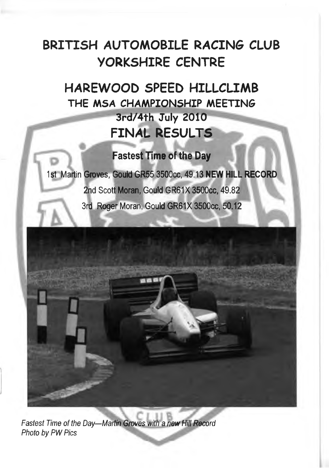## **BRITISH AUTOMOBILE RACIN6 CLUB YORKSHIRE CENTRE**

**HAREWOOD SPEED HILLCLIMB THE MSA CHAMPIONSHIP MEETINS 3rd/4th July 2010 FINAL RESULTS**

### Fastest Time of the Day

1st Martin Groves, Gould GR55 3500cc, 49.13 **NEW HILL RECORD 2nd Scot|Moran, Gould GR61X 3500cc, 49.82** 3rd Roger Moran, Gould GR61X 3500cc, 50.12



**Fastest Time of the Day—Martin Groves with a new Hill Record** *Photo by PW Pics*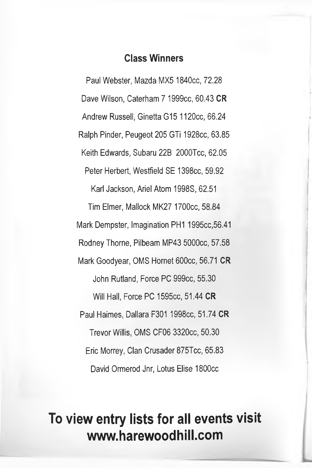#### **Class Winners**

Paul Webster. Mazda MX5 1840cc, 72.28 Dave Wilson, Caterham 7 1999cc, 60.43 **CR** Andrew Russell, Ginetta G15 1120cc, 66.24 Ralph Pinder, Peugeot 205 GTi 1928cc, 63.85 Keith Edwards, Subaru 22B 2000Tcc, 62.05 Peter Herbert, Westfield SE 1398cc, 59.92 Karl Jackson, Ariel Atom 1998S, 62.51 Tim Elmer, Mallock MK27 1700cc, 58.84 Mark Dempster, Imagination PH1 1995cc,56.41 Rodney Thorne, Pilbeam MP43 5000cc, 57.58 Mark Goodyear, QMS Hornet 600cc, 56.71 **CR** John Rutland, Force PC 999cc, 55.30 Will Hall, Force PC 1595cc, 51.44 **CR** Paul Haimes, Dallara F301 1998cc, 51.74 **CR** Trevor Willis, QMS CF06 3320cc, 50.30 Eric Morrey, Clan Crusader 875Tcc, 65.83 David Ormerod Jnr, Lotus Elise 1800cc

## **To view entry lists for all events visit [www.harewoodhill.com](http://www.harewoodhill.com)**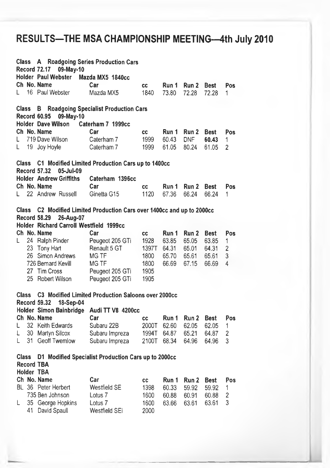## **RESULTS-THE MSA CHAMPIONSHIP MEETING-4th July 2010**

| <b>Class</b> |    | <b>A</b> Roadgoing Series Production Cars<br><b>Record 72.17</b><br>09-May-10 |                                                                  |           |       |                  |             |            |
|--------------|----|-------------------------------------------------------------------------------|------------------------------------------------------------------|-----------|-------|------------------|-------------|------------|
|              |    | <b>Holder Paul Webster</b>                                                    | Mazda MX5 1840cc                                                 |           |       |                  |             |            |
|              |    | Ch No. Name                                                                   | Car                                                              | CC        | Run 1 | Run 2            | <b>Best</b> | <b>Pos</b> |
| L            |    | 16 Paul Webster                                                               | Mazda MX5                                                        | 1840      | 73.80 | 72.28            | 72.28       | 1          |
| <b>Class</b> |    | В<br><b>Record 60.95</b><br>09-May-10                                         | <b>Roadgoing Specialist Production Cars</b>                      |           |       |                  |             |            |
|              |    | Holder Dave Wilson                                                            | Caterham 7 1999cc                                                |           |       |                  |             |            |
|              |    | Ch No. Name                                                                   | Car                                                              | <b>CC</b> | Run 1 | Run 2            | <b>Best</b> | Pos        |
| L            |    | 719 Dave Wilson                                                               | Caterham 7                                                       | 1999      | 60.43 | <b>DNF</b>       | 60.43       | 1          |
| L            |    | 19 Joy Hoyle                                                                  | Caterham 7                                                       | 1999      | 61.05 | 80.24            | 61.05       | 2          |
| <b>Class</b> |    | <b>Record 57.32</b><br>05-Jul-09                                              | C1 Modified Limited Production Cars up to 1400cc                 |           |       |                  |             |            |
|              |    | <b>Holder Andrew Griffiths</b>                                                | Caterham 1396cc                                                  |           |       |                  |             |            |
|              |    | Ch No. Name                                                                   | Car                                                              | cc        | Run 1 | Run <sub>2</sub> | Best        | Pos        |
| L            |    | 22 Andrew Russell                                                             | Ginetta G15                                                      | 1120      | 67.36 | 66.24            | 66.24       | 1          |
|              |    |                                                                               |                                                                  |           |       |                  |             |            |
| <b>Class</b> |    | <b>Record 58.29</b><br>26-Aug-07                                              | C2 Modified Limited Production Cars over 1400cc and up to 2000cc |           |       |                  |             |            |
|              |    | Holder Richard Carroll Westfield 1999cc                                       |                                                                  |           |       |                  |             |            |
|              |    | Ch No. Name                                                                   | Car                                                              | cc        | Run 1 | Run 2            | <b>Best</b> | Pos        |
| L            |    | 24 Ralph Pinder                                                               | Peugeot 205 GTi                                                  | 1928      | 63.85 | 65.05            | 63.85       | 1          |
|              |    |                                                                               |                                                                  |           |       |                  |             |            |
|              |    | 23 Tony Hart                                                                  | Renault 5 GT                                                     | 1397T     | 64.31 | 65.01            | 64.31       | 2          |
|              | 26 | Simon Andrews                                                                 | MG TF                                                            | 1800      | 65.70 | 65.61            | 65.61       | 3          |
|              |    | 726 Bernard Kevill                                                            | <b>MG TF</b>                                                     | 1800      | 66.69 | 67.15            | 66.69       | 4          |
|              |    | 27 Tim Cross                                                                  | Peugeot 205 GTi                                                  | 1905      |       |                  |             |            |
|              |    | 25 Robert Wilson                                                              | Peugeot 205 GTi                                                  | 1905      |       |                  |             |            |
| <b>Class</b> |    | <b>Record 59.32</b><br>18-Sep-04                                              | C3 Modified Limited Production Saloons over 2000cc               |           |       |                  |             |            |
|              |    | Holder Simon Bainbridge                                                       | Audi TT V8 4200cc                                                |           |       |                  |             |            |
|              |    | Ch No. Name                                                                   | Car                                                              | СC        | Run 1 | Run 2            | <b>Best</b> | Pos        |
| Ł            |    | 32 Keith Edwards                                                              | Subaru 22B                                                       | 2000T     | 62.60 | 62.05            | 62.05       | 1          |
| L            | 30 | Martyn Silcox                                                                 | Subaru Impreza                                                   | 1994T     | 64.87 | 65.21            | 64.87       | 2          |
| L            | 31 | Geoff Twemlow                                                                 | Subaru Impreza                                                   | 2100T     | 68.34 | 64.96            | 64.96       | 3          |
|              |    |                                                                               |                                                                  |           |       |                  |             |            |
| Class        |    | <b>Record TBA</b><br><b>Holder TBA</b>                                        | D1 Modified Specialist Production Cars up to 2000cc              |           |       |                  |             |            |
|              |    | Ch No. Name                                                                   | Car                                                              | СC        | Run 1 | Run 2            | <b>Best</b> | Pos        |
|              |    | BL 36 Peter Herbert                                                           | Westfield SE                                                     | 1398      | 60.33 | 59.92            | 59.92       | 1          |
|              |    | 735 Ben Johnson                                                               | Lotus <sub>7</sub>                                               | 1600      | 60.88 | 60.91            | 60.88       | 2          |
| Ł.           | 35 | George Hopkins                                                                | Lotus <sub>7</sub>                                               | 1600      | 63.66 | 63.61            | 63.61       | 3          |
|              | 41 | David Spaull                                                                  | Westfield SEi                                                    |           |       |                  |             |            |
|              |    |                                                                               |                                                                  | 2000      |       |                  |             |            |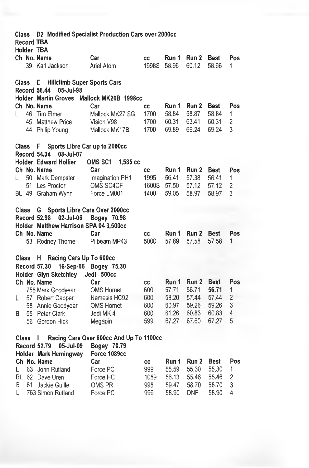| Class        |       |                                                                        | D2 Modified Specialist Production Cars over 2000cc |           |       |       |             |                |
|--------------|-------|------------------------------------------------------------------------|----------------------------------------------------|-----------|-------|-------|-------------|----------------|
|              |       | <b>Record TBA</b><br>Holder TBA                                        |                                                    |           |       |       |             |                |
|              |       | Ch No. Name                                                            | Car                                                | cc        | Run 1 | Run 2 | <b>Best</b> | Pos            |
|              |       | 39 Karl Jackson                                                        | Ariel Atom                                         | 1998S     | 58.96 | 60.12 | 58.96       | 1              |
|              |       |                                                                        |                                                    |           |       |       |             |                |
| <b>Class</b> |       | <b>Hillclimb Super Sports Cars</b><br>E<br>Record 56.44<br>05-Jul-98   |                                                    |           |       |       |             |                |
|              |       | <b>Holder Martin Groves</b>                                            | Mallock MK20B 1998cc                               |           |       |       |             |                |
|              |       | Ch No. Name                                                            | Car                                                | СC        | Run 1 | Run 2 | <b>Best</b> | Pos            |
| L            | 46    | Tim Elmer                                                              | Mallock MK27 SG                                    | 1700      | 58.84 | 58.87 | 58.84       | 1              |
|              |       | 45 Matthew Price                                                       | Vision V98                                         | 1700      | 60.31 | 63.41 | 60.31       | $\overline{c}$ |
|              | 44    | Philip Young                                                           | Mallock MK17B                                      | 1700      | 69.89 | 69.24 | 69.24       | 3              |
|              |       |                                                                        |                                                    |           |       |       |             |                |
| <b>Class</b> |       | Sports Libre Car up to 2000cc<br>F<br><b>Record 54.34</b><br>08-Jul-07 |                                                    |           |       |       |             |                |
|              |       | Holder Edward Hollier                                                  | <b>OMS SC1</b><br>$1,585$ cc                       |           |       |       |             |                |
|              |       | Ch No. Name                                                            | Car                                                | <b>CC</b> | Run 1 | Run 2 | Best        | Pos            |
| L            |       | 50 Mark Dempster                                                       | Imagination PH1                                    | 1995      | 56.41 | 57.38 | 56.41       | 1              |
|              |       | 51 Les Procter                                                         | OMS SC4CF                                          | 1600S     | 57.50 | 57.12 | 57.12       | 2              |
|              |       | BL 49 Graham Wynn                                                      | Force LM001                                        | 1400      | 59.05 | 58.97 | 58.97       | 3              |
|              |       |                                                                        |                                                    |           |       |       |             |                |
| <b>Class</b> |       | G                                                                      | Sports Libre Cars Over 2000cc                      |           |       |       |             |                |
|              |       | <b>Record 52.98</b><br>02-Jul-06                                       | Bogey 70.98                                        |           |       |       |             |                |
|              |       | Holder Matthew Harrison SPA 04 3,500cc                                 |                                                    |           |       |       |             |                |
|              |       | Ch No. Name                                                            | Car                                                | cc        | Run 1 | Run 2 | Best        | Pos            |
|              |       | 53 Rodney Thorne                                                       | Pilbeam MP43                                       | 5000      | 57.89 | 57.58 | 57.58       | 1              |
| <b>Class</b> |       | н                                                                      |                                                    |           |       |       |             |                |
|              |       | Racing Cars Up To 600cc<br><b>Record 57.30</b><br>16-Sep-06            | Bogey 75.30                                        |           |       |       |             |                |
|              |       | Holder Glyn Sketchley                                                  | Jedi 500cc                                         |           |       |       |             |                |
|              |       | Ch No. Name                                                            | Car                                                | cc        | Run 1 | Run 2 | <b>Best</b> | Pos            |
|              |       | 758 Mark Goodyear                                                      | <b>OMS Hornet</b>                                  | 600       | 57.71 | 56.71 | 56.71       | 1              |
| L            |       | 57 Robert Capper                                                       | Nemesis HC92                                       | 600       | 58.20 | 57.44 | 57.44       | 2              |
|              |       | 58 Annie Goodyear                                                      | <b>OMS Hornet</b>                                  | 600       | 60.97 | 59.26 | 59.26       | 3              |
| B            |       | 55 Peter Clark                                                         | Jedi MK 4                                          | 600       | 61.26 | 60.83 | 60.83       | 4              |
|              | 56    | Gordon Hick                                                            | Megapin                                            | 599       | 67.27 | 67.60 | 67.27       | 5              |
|              |       |                                                                        |                                                    |           |       |       |             |                |
| <b>Class</b> |       | L                                                                      | Racing Cars Over 600cc And Up To 1100cc            |           |       |       |             |                |
|              |       | <b>Record 52.79</b><br>05-Jul-09                                       | Bogey 70.79                                        |           |       |       |             |                |
|              |       | Holder Mark Hemingway                                                  | Force 1089cc                                       |           |       |       |             |                |
|              |       | Ch No. Name                                                            | Car                                                | cc        | Run 1 | Run 2 | <b>Best</b> | Pos            |
| L            | 63.   | John Rutland                                                           | Force PC                                           | 999       | 55.59 | 55.30 | 55.30       | 1              |
|              | BL 62 | Dave Uren                                                              | Force HC                                           | 1089      | 56.13 | 55.46 | 55.46       | 2              |
| Β            | 61    | Jackie Guille                                                          | OMS PR                                             | 998       | 59.47 | 58.70 | 58.70       | 3              |
| L            |       | 763 Simon Rutland                                                      | Force PC                                           | 999       | 58.90 | DNF   | 58.90       | 4              |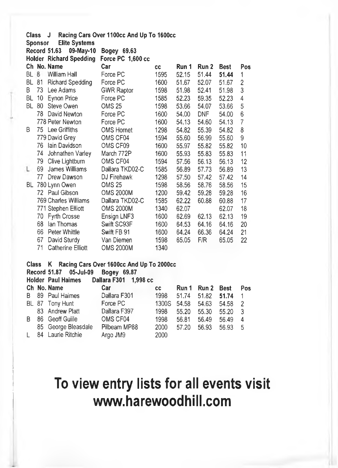|            | Class J        |                                  | Racing Cars Over 1100cc And Up To 1600cc                                                                                              |           |       |       |             |                |
|------------|----------------|----------------------------------|---------------------------------------------------------------------------------------------------------------------------------------|-----------|-------|-------|-------------|----------------|
|            | <b>Sponsor</b> | <b>Elite Systems</b>             |                                                                                                                                       |           |       |       |             |                |
|            |                | <b>Record 51.63</b><br>09-May-10 | Bogey 69.63                                                                                                                           |           |       |       |             |                |
|            |                | <b>Holder Richard Spedding</b>   | Force PC 1,600 cc                                                                                                                     |           |       |       |             |                |
|            |                | Ch No. Name                      | Car                                                                                                                                   | <b>CC</b> | Run 1 | Run 2 | <b>Best</b> | Po:            |
| BL 8       |                | William Hall                     | Force PC                                                                                                                              | 1595      | 52.15 | 51.44 | 51.44       | 1              |
| BL         | 81             | <b>Richard Spedding</b>          | Force PC                                                                                                                              | 1600      | 51.67 | 52.07 | 51.67       | $\overline{c}$ |
| B          |                | 73 Lee Adams                     | <b>GWR Raptor</b>                                                                                                                     | 1598      | 51.98 | 52.41 | 51.98       | 3              |
| BL.        |                | 10 Eynon Price                   | Force PC                                                                                                                              | 1585      | 52.23 | 59.35 | 52.23       | 4              |
| BL         | 80             | Steve Owen                       | <b>OMS 25</b>                                                                                                                         | 1598      | 53.66 | 54.07 | 53.66       | 5              |
|            | 78.            | David Newton                     | Force PC                                                                                                                              | 1600      | 54.00 | DNF   | 54.00       | 6              |
|            |                | 778 Peter Newton                 | Force PC                                                                                                                              | 1600      | 54.13 | 54.60 | 54.13       | 7              |
| B          |                | 75 Lee Griffiths                 | <b>OMS Hornet</b>                                                                                                                     | 1298      | 54.82 | 55.39 | 54.82       | 8              |
|            |                | 779 David Grey                   | OMS CF04                                                                                                                              | 1594      | 55.60 | 56.99 | 55.60       | 9              |
|            | 76             | Iain Davidson                    | OMS CF09                                                                                                                              | 1600      | 55.97 | 55.82 | 55.82       | 10             |
|            | 74             | Johnathen Varley                 | March 772P                                                                                                                            | 1600      | 55.93 | 55.83 | 55.83       | 11             |
|            | 79 -           | Clive Lightburn                  | OMS CF04                                                                                                                              | 1594      | 57.56 | 56.13 | 56.13       | 12             |
| L          | 69             | James Williams                   | Dallara TKD02-C                                                                                                                       | 1585      | 56.89 | 57.73 | 56.89       | 13             |
|            | 77             | Drew Dawson                      | DJ Firehawk                                                                                                                           | 1298      | 57.50 | 57.42 | 57.42       | 14             |
| BL.        |                | 780 Lynn Owen                    | <b>OMS 25</b>                                                                                                                         | 1598      | 58.56 | 58.76 | 58.56       | 15             |
|            |                | 72 Paul Gibson                   | <b>OMS 2000M</b>                                                                                                                      | 1200      | 59.42 | 59.28 | 59.28       | 16             |
|            |                | 769 Charles Williams             | Dallara TKD02-C                                                                                                                       | 1585      | 62.22 | 60.88 | 60.88       | 17             |
|            |                | 771 Stephen Elliott              | <b>OMS 2000M</b>                                                                                                                      | 1340      | 62.07 |       | 62.07       | 18             |
|            | 70.            | <b>Fyrth Crosse</b>              | Ensign LNF3                                                                                                                           | 1600      | 62.69 | 62.13 | 62.13       | 19             |
|            | 68             | lan Thomas                       | Swift SC93F                                                                                                                           | 1600      | 64.53 | 64.16 | 64.16       | 20             |
|            | 66             | Peter Whittle                    | Swift FB 91                                                                                                                           | 1600      | 64.24 | 66.36 | 64.24       | 21             |
|            | 67             | David Sturdy                     | Van Diemen                                                                                                                            | 1598      | 65.05 | F/R   | 65.05       | 22             |
|            | 71             | <b>Catherine Elliott</b>         | <b>OMS 2000M</b>                                                                                                                      | 1340      |       |       |             |                |
| <b>CL-</b> |                | $\mathbf{z}$                     | $D_{\text{max}}$ $D_{\text{max}}$ $D_{\text{max}}$ $A \wedge A \wedge A$ $A \wedge A$ $A \wedge A$ $B \wedge B$ $B \wedge A \wedge A$ |           |       |       |             |                |

#### **Class K Racing Cars Over 1600cc And Up To 2000cc Record 51.87 05-Jul-09 Bogey 69.87**

#### **Holder Paul Haimes Dallara F301 1,998 cc**

|   |                     | <u>Punun 1991 1999 99</u> |       |       |       |             |               |
|---|---------------------|---------------------------|-------|-------|-------|-------------|---------------|
|   | Ch No. Name         | Car                       | СC    | Run 1 | Run 2 | <b>Best</b> | <b>Pos</b>    |
|   | B 89 Paul Haimes    | Dallara F301              | 1998  | 51.74 | 51.82 | 51.74       | -1            |
|   | BL 87 Tony Hunt     | Force PC                  | 1300S | 54.58 | 54.63 | 54.58       | $\mathcal{P}$ |
|   | 83 Andrew Platt     | Dallara F397              | 1998  | 55.20 | 55.30 | 55.20       | -3            |
| R | 86 Geoff Guille     | OMS CF04                  | 1998  | 56.81 | 56.49 | 56.49       | 4             |
|   | 85 George Bleasdale | Pilbeam MP88              | 2000  | 57.20 | 56.93 | 56.93       | -5            |
|   | 84 Laurie Ritchie   | Argo JM9                  | 2000  |       |       |             |               |
|   |                     |                           |       |       |       |             |               |

## **To view entry lists for all events visit [www.harewoodhill.com](http://www.harewoodhill.com)**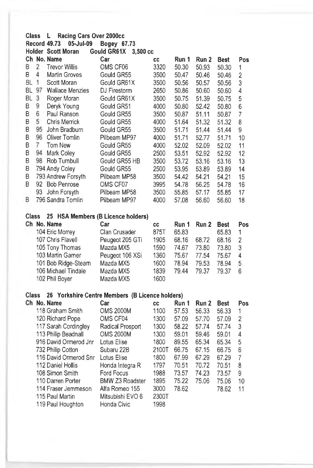| <b>Class</b> |                | Racing Cars Over 2000cc<br>L         |                                                 |               |       |       |             |                |
|--------------|----------------|--------------------------------------|-------------------------------------------------|---------------|-------|-------|-------------|----------------|
|              |                | <b>Record 49.73</b><br>05-Jul-09     | Bogey 67.73                                     |               |       |       |             |                |
|              |                | Holder Scott Moran                   | <b>Gould GR61X</b><br>$3,500$ cc                |               |       |       |             |                |
|              |                | Ch No. Name                          | Car                                             | CC            | Run 1 | Run 2 | <b>Best</b> | Pos            |
| В            | 2              | <b>Trevor Willis</b>                 | OMS CF06                                        | 3320          | 50.30 | 50.93 | 50.30       | 1              |
| B            | 4              | <b>Martin Groves</b>                 | Gould GR55                                      | 3500          | 50.47 | 50.46 | 50.46       | $\overline{c}$ |
| ВL           | 1              | Scott Moran                          | Gould GR61X                                     | 3500          | 50.56 | 50.57 | 50.56       | 3              |
| BL           |                | 97 Wallace Menzies                   | DJ Firestorm                                    | 2650          | 50.86 | 50.60 | 50.60       | 4              |
| <b>BL</b>    | 3              | Roger Moran                          | Gould GR61X                                     | 3500          | 50.75 | 51.39 | 50.75       | 5              |
| В            | 9              | Deryk Young                          | Gould GR51                                      | 4000          | 50.80 | 52.42 | 50.80       | 6              |
| В            | 6              | Paul Ranson                          | Gould GR55                                      | 3500          | 50.87 | 51.11 | 50.87       | 7              |
| B            | 5              | <b>Chris Merrick</b>                 | Gould GR55                                      | 4000          | 51.64 | 51,32 | 51.32       | 8              |
| B            | 95             | John Bradburn                        | Gould GR55                                      | 3500          | 51.71 | 51.44 | 51.44       | 9              |
| В            |                | 96 Oliver Tomlin                     | Pilbeam MP97                                    | 4000          | 51.71 | 52.77 | 51.71       | 10             |
| В            | $\overline{7}$ | Tom New                              | Gould GR55                                      | 4000          | 52.02 | 52.09 | 52,02       | 11             |
| B            |                | 94 Mark Coley                        | Gould GR55                                      | 2500          | 53.51 | 52.92 | 52.92       | 12             |
| B            |                | 98 Rob Turnbull                      | Gould GR55 HB                                   | 3500          | 53.72 | 53.16 | 53.16       | 13             |
| В            |                | 794 Andy Coley                       | Gould GR55                                      | 2500          | 53.95 | 53.89 | 53.89       | 14             |
| B            |                | 793 Andrew Forsyth                   | Pilbeam MP58                                    | 3500          | 54.42 | 54.21 | 54.21       | 15             |
| В            |                | 92 Bob Penrose                       | OMS CF07                                        | 3995          | 54.78 | 56.25 | 54.78       | 16             |
|              | 93.            | John Forsyth                         | Pilbeam MP58                                    | 3500          | 55.85 | 57.17 | 55.85       | 17             |
| B            |                | 796 Sandra Tomlin                    | Pilbeam MP97                                    | 4000          | 57.08 | 56.60 | 56.60       | 18             |
|              |                |                                      |                                                 |               |       |       |             |                |
| <b>Class</b> |                | 25 HSA Members (B Licence holders)   |                                                 |               |       |       |             |                |
|              |                | Ch No. Name                          | Car                                             | CC            | Run 1 | Run 2 | <b>Best</b> | Pos            |
|              |                | 104 Eric Morrey                      | Clan Crusader                                   | 875T          | 65.83 |       | 65.83       | 1              |
|              |                | 107 Chris Flavell                    | Peugeot 205 GTi                                 | 1905          | 68.16 | 68.72 | 68.16       | $\overline{c}$ |
|              |                | 105 Tony Thomas                      | Mazda MX5                                       | 1590          | 74.67 | 73.80 | 73.80       | 3              |
|              |                | 103 Martin Garner                    | Peugeot 106 XSi                                 | 1360          | 75.67 | 77.54 | 75.67       | 4              |
|              |                | 101 Bob Ridge-Steam                  | Mazda MX5                                       | 1600          | 78.94 | 79.53 | 78.94       | 5              |
|              |                | 106 Michael Tindale                  | Mazda MX5                                       | 1839          | 79.44 | 79.37 | 79.37       | 6              |
|              |                | 102 Phil Boyer                       | Mazda MX5                                       | 1600          |       |       |             |                |
|              |                |                                      |                                                 |               |       |       |             |                |
| Class        |                |                                      | 26 Yorkshire Centre Members (B Licence holders) |               |       |       |             |                |
|              |                | Ch No. Name                          | Car                                             | <b>CC</b>     | Run 1 | Run 2 | <b>Best</b> | Pos            |
|              |                | 118 Graham Smith                     | <b>OMS 2000M</b>                                | 1100          | 57.53 | 56.33 | 56.33       | 1              |
|              |                | 120 Richard Pope                     | OMS CF04                                        | 1300          | 57.09 | 57.70 | 57.09       | 2              |
|              |                |                                      |                                                 |               |       |       |             |                |
|              |                |                                      |                                                 | 1300          | 58.22 | 57.74 | 57.74       | 3              |
|              |                | 117 Sarah Cordingley                 | Radical Prosport                                |               |       |       |             | 4              |
|              |                | 113 Philip Beadnall                  | OMS 2000M                                       | 1300          | 59.01 | 59.46 | 59.01       |                |
|              |                | 916 David Ormerod Jnr                | Lotus Elise<br>Subaru 22B                       | 1800          | 89.55 | 65.34 | 65.34       | 5              |
|              |                | 732 Philip Cotton                    |                                                 | 2100T         | 66.75 | 67.15 | 66.75       | 6              |
|              |                | 116 David Ormerod Snr                | Lotus Elise                                     | 1800          | 67.99 | 67.29 | 67.29       | $\overline{7}$ |
|              |                | 112 Daniel Hollis                    | Honda Integra R                                 | 1797          | 70.51 | 70.72 | 70.51       | 8              |
|              |                | 108 Simon Smith                      | Ford Focus                                      | 1988          | 73.57 | 74.23 | 73.57       | 9              |
|              |                | 110 Darren Porter                    | <b>BMW Z3 Roadster</b>                          | 1895          | 75.22 | 75.06 | 75.06       | 10             |
|              |                | 114 Fraser Jemmeson                  | Alfa Romeo 155                                  | 3000          | 78.62 |       | 78.62       | 11             |
|              |                | 115 Paul Martin<br>119 Paul Houghton | Mitsubishi EVO 6<br>Honda Civic                 | 2300T<br>1998 |       |       |             |                |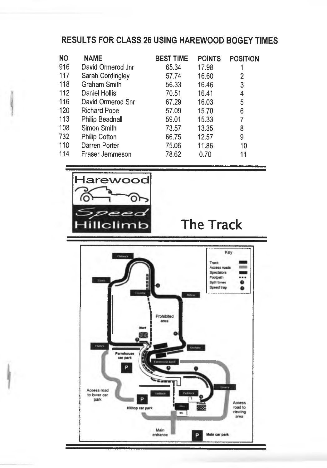#### **RESULTS FOR CLASS 26 USING HAREWOOD BOGEY TIMES**

|                                                                                                                                                                                                                  | <b>POINTS</b> | <b>POSITION</b>  |
|------------------------------------------------------------------------------------------------------------------------------------------------------------------------------------------------------------------|---------------|------------------|
| 65.34                                                                                                                                                                                                            | 17.98         |                  |
| 57.74                                                                                                                                                                                                            | 16.60         | 2                |
| 56.33                                                                                                                                                                                                            | 16.46         | 3                |
| 70.51                                                                                                                                                                                                            | 16.41         | 4                |
| 67.29                                                                                                                                                                                                            | 16.03         | 5                |
| 57.09                                                                                                                                                                                                            | 15.70         | 6                |
| 59.01                                                                                                                                                                                                            | 15.33         |                  |
| 73.57                                                                                                                                                                                                            | 13.35         | 8                |
| 66.75                                                                                                                                                                                                            | 12.57         | 9                |
| 75.06                                                                                                                                                                                                            | 11.86         | 10               |
| 78.62                                                                                                                                                                                                            | 0.70          | 11               |
| David Ormerod Jnr<br>Sarah Cordingley<br>Graham Smith<br>Daniel Hollis<br>David Ormerod Snr<br><b>Richard Pope</b><br>Philip Beadnall<br>Simon Smith<br><b>Philip Cotton</b><br>Darren Porter<br>Fraser Jemmeson |               | <b>BEST TIME</b> |





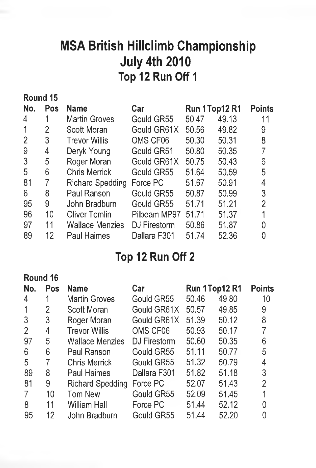## MSA British Hillclimb Championship July 4th 2010 Top 12 Run Off 1

|                | Round 15 |                         |              |       |               |                |
|----------------|----------|-------------------------|--------------|-------|---------------|----------------|
| No.            | Pos      | <b>Name</b>             | Car          |       | Run 1Top12 R1 | <b>Points</b>  |
| 4              |          | <b>Martin Groves</b>    | Gould GR55   | 50.47 | 49.13         | 11             |
| 1              | 2        | <b>Scott Moran</b>      | Gould GR61X  | 50.56 | 49.82         | 9              |
| $\overline{2}$ | 3        | <b>Trevor Willis</b>    | OMS CF06     | 50,30 | 50.31         | 8              |
| 9              | 4        | Deryk Young             | Gould GR51   | 50.80 | 50.35         | 7              |
| 3              | 5        | Roger Moran             | Gould GR61X  | 50.75 | 50.43         | 6              |
| 5              | 6        | <b>Chris Merrick</b>    | Gould GR55   | 51.64 | 50.59         | 5              |
| 81             | 7        | <b>Richard Spedding</b> | Force PC     | 51.67 | 50.91         | 4              |
| 6              | 8        | Paul Ranson             | Gould GR55   | 50.87 | 50.99         | 3              |
| 95             | 9        | John Bradburn           | Gould GR55   | 51.71 | 51.21         | $\overline{2}$ |
| 96             | 10       | <b>Oliver Tomlin</b>    | Pilbeam MP97 | 51.71 | 51.37         |                |
| 97             | 11       | <b>Wallace Menzies</b>  | DJ Firestorm | 50.86 | 51.87         | 0              |
| 89             | 12       | <b>Paul Haimes</b>      | Dallara F301 | 51.74 | 52.36         |                |
|                |          |                         |              |       |               |                |

## Top 12 Run Off 2

#### **Round 16**

| No.            | Pos | <b>Name</b>            | Car          |       | Run 1Top12 R1 | <b>Points</b> |
|----------------|-----|------------------------|--------------|-------|---------------|---------------|
| 4              |     | <b>Martin Groves</b>   | Gould GR55   | 50.46 | 49.80         | 10            |
| 1              | 2   | Scott Moran            | Gould GR61X  | 50.57 | 49.85         | 9             |
| 3              | 3   | Roger Moran            | Gould GR61X  | 51.39 | 50.12         | 8             |
| $\overline{2}$ | 4   | <b>Trevor Willis</b>   | OMS CF06     | 50.93 | 50.17         |               |
| 97             | 5   | <b>Wallace Menzies</b> | DJ Firestorm | 50.60 | 50.35         | 6             |
| 6              | 6   | Paul Ranson            | Gould GR55   | 51.11 | 50.77         | 5             |
| 5              | 7   | <b>Chris Merrick</b>   | Gould GR55   | 51.32 | 50.79         |               |
| 89             | 8   | Paul Haimes            | Dallara F301 | 51.82 | 51.18         | 3             |
| 81             | 9   | Richard Spedding       | Force PC     | 52.07 | 51.43         | 2             |
| 7              | 10  | Tom New                | Gould GR55   | 52.09 | 51.45         |               |
| 8              | 11  | <b>William Hall</b>    | Force PC     | 51.44 | 52.12         |               |
| 95             | 12  | John Bradburn          | Gould GR55   | 51.44 | 52.20         |               |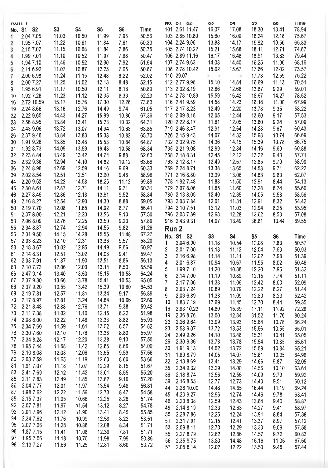| S3<br>S5<br>S6<br>Time<br>101 2.61 11.47<br>16.07<br>17.08<br>18.30<br>78.94<br>No. S1 S2<br>S4<br>13.41<br>2.04 7.05<br>11.03<br>10.50<br>11.99<br>7.95<br>50.56<br>103 2.85 10.80<br>15.60<br>16.00<br>18.24<br>12.18<br>75.67<br>1<br>104 2.24 9.06<br>11.22<br>50.30<br>13.88<br>14.17<br>15.92<br>65.83<br>1.95 7.07<br>10.61<br>11.84<br>7.61<br>10.56<br>2<br>11.15<br>10.68<br>11.84<br>7.86<br>50.75<br>105 2.74 10.22<br>15.21<br>15.68<br>12.71<br>74.67<br>2.15 7.07<br>18.11<br>3<br>11.10<br>10.52<br>7.88<br>50.47<br>106 2.89 11.16<br>16.17<br>16.48<br>18.91<br>13.83<br>79.44<br>1.99 7.01<br>11.97<br>4<br>51.64<br>107 2.74 9.63<br>14.08<br>14.40<br>11.06<br>68.16<br>1.94 7.10<br>11.46<br>10.92<br>12.30<br>7.92<br>16.25<br>5<br>12.25<br>7.65<br>50.87<br>108 2.78 10.42<br>15.02<br>12.02<br>73.57<br>2.11 6.92<br>11.07<br>10.87<br>15.67<br>17.66<br>6<br>11.24<br>11.15<br>12.43<br>8.22<br>52.02<br>110 29.07<br>12.59<br>75.22<br>2.00 6.98<br>17.73<br>. .<br>7<br>$\sim$<br>11.25<br>12.13<br>52.15<br>112 2.77 9.98<br>15.10<br>14.84<br>70.51<br>2.00 7.27<br>11.02<br>8.48<br>16.69<br>11.13<br>8<br>1.95 6.91<br>11.17<br>10.50<br>12.11<br>8.16<br>50.80<br>113 2.32 8.19<br>12.86<br>12.68<br>13.67<br>9.29<br>59.01<br>9<br>11.23<br>11.12<br>12.35<br>8.33<br>52.23<br>114 2.78 10.89<br>15.59<br>16.42<br>14.27<br>78.62<br>1.92 7.28<br>18.67<br>10<br>17.30<br>116 2.41 9.59<br>14.58<br>14.23<br>67.99<br>2.72 10.59<br>15.17<br>15.76<br>12.26<br>73.80<br>16.18<br>11.00<br>16<br>117 2.17 8.23<br>12.49<br>12.20<br>58.22<br>2.24 8.66<br>13.16<br>12.76<br>14.49<br>9.74<br>61.05<br>13.78<br>9.35<br>19<br>12.05<br>57.53<br>2.22 9.65<br>14.43<br>14.27<br>15.99<br>10.80<br>67.36<br>118 2.09 8.18<br>12.44<br>13.60<br>9.17<br>22<br>120 2.22 8.17<br>11.61<br>12.05<br>9.24<br>57.09<br>2.56 8.95<br>13.84<br>13.41<br>15.23<br>10.32<br>64.31<br>13.80<br>23<br>719 2.46 8.47<br>12.91<br>12.64<br>9.67<br>60.43<br>2.43 9.06<br>13.72<br>13.07<br>14.94<br>10.63<br>63.85<br>14.28<br>24<br>66.69<br>2.37 9.46<br>13.84<br>13.83<br>15.38<br>10.82<br>65.70<br>726 2.15 9.43<br>14.07<br>14.32<br>15.98<br>10.74<br>26<br>1.91 9.26<br>13.85<br>15.53<br>732 2.32 9.75<br>14.36<br>14.15<br>66.75<br>30<br>13.48<br>10.84<br>64.87<br>15.39<br>10.78<br>14.09<br>735 2.21 9.08<br>12.99<br>12.84<br>60.88<br>1.92 8.73<br>13.59<br>19.43<br>10.58<br>68.34<br>14.16<br>9.60<br>31<br>2.23 8.84<br>758 2.18 8.31<br>12.45<br>12.12<br>57.71<br>32<br>13.49<br>13.42<br>14.74<br>9.88<br>62.60<br>13.22<br>9.43<br>2.32 9.36<br>12.94<br>14.10<br>14.82<br>10.12<br>763 2.12 8.17<br>12.49<br>12.57<br>9.70<br>58.90<br>35<br>63.66<br>13.85<br>2.24 8.96<br>12.69<br>12.59<br>14.16<br>9.69<br>60.33<br>769 2.24 8.71<br>13.38<br>13.65<br>14.53<br>9.71<br>62.22<br>36<br>2.02 8.54<br>12.51<br>12.51<br>13.90<br>58.96<br>771 2.16 8.80<br>13.39<br>13.06<br>14.83<br>9.83<br>62.07<br>39<br>9.48<br>54.13<br>2.20 9.52<br>14.22<br>14.58<br>18.25<br>69.89<br>778 1.92 7.48<br>11.88<br>11.50<br>12.91<br>8.44<br>11.12<br>44<br>2.30 8.61<br>12.87<br>12.71<br>14.11<br>9.71<br>60.31<br>779 2.07 8.06<br>11.85<br>11.60<br>13.28<br>8.74<br>55.60<br>45<br>2.27 8.45<br>12.86<br>12.13<br>13.61<br>9.52<br>58.84<br>780 2.13 8.05<br>12.40<br>12.35<br>14.05<br>9.58<br>58.56<br>46<br>12.54<br>14.30<br>59.05<br>793 2.03 7.84<br>12.01<br>8.32<br>54.42<br>49<br>2.16 8.27<br>12.90<br>8.88<br>11.31<br>12.91<br>12.08<br>11.65<br>14.02<br>8.77<br>56.41<br>794 2.10 7.51<br>12.12<br>11.03<br>12.94<br>8.25<br>53.95<br>50<br>2.19 7.70<br>8.53<br>2.37 8.00<br>12.21<br>12.23<br>13.56<br>9.13<br>57.50<br>796 2.08 7.89<br>12.68<br>12.28<br>13.62<br>57.08<br>51<br>57.89<br>2.06 8.09<br>12.76<br>12.25<br>13.50<br>9.23<br>916 2.43 9.31<br>14.07<br>13.49<br>36.81<br>13.44<br>89.55<br>53<br>12.74<br>12.94<br>61.26<br>2.34 8.87<br>14.55<br>9.82<br>55<br>Run <sub>2</sub><br>14.15<br>14.28<br>67.27<br>2.31 9.50<br>15.55<br>11.48<br>56<br>No. S1 S2<br>S3<br>S4<br>S5<br>S6<br>Time<br>58.20<br>57<br>2.03 8.23<br>12.10<br>12.31<br>13.96<br>9.57<br>1<br>2.04 6.90<br>11.18<br>10.54<br>12.08<br>7.83<br>50.57<br>2.18 8.67<br>13.02<br>12.95<br>14.49<br>9.66<br>60.97<br>58<br>2<br>2.017.00<br>50.93<br>11.13<br>11.12<br>12.04<br>7.63<br>2.14 8.31<br>12.51<br>13.02<br>14.08<br>9.41<br>59.47<br>61<br>3<br>2.16 6.98<br>11.14<br>11.11<br>7.98<br>12.02<br>51.39<br>2.08 7.91<br>11.90<br>62<br>11.87<br>13.51<br>8.86<br>56.13<br>4<br>2.01 6.87<br>10.94<br>10.67<br>11.95<br>8.02<br>50.46<br>12.06<br>12.03<br>13.14<br>55.59<br>63<br>2.10 7.73<br>8.53<br>5<br>1.99 7.10<br>11.20<br>10.88<br>12.20<br>7.95<br>51.32<br>64.24<br>66<br>2.47 9.14<br>13.40<br>13.50<br>15.15<br>10.58<br>6<br>2.14 7.00<br>11.19<br>10.89<br>12.15<br>7.74<br>51.11<br>15.41<br>65.05<br>67<br>2.37 9.30<br>13.66<br>13.78<br>10.53<br>7<br>2.17 7.06<br>11.38<br>11.06<br>12.42<br>8.00<br>52.09<br>2.37 9.20<br>15.39<br>10.60<br>64.53<br>68<br>13.55<br>13.42<br>8<br>8.27<br>2.03 7.24<br>10.89<br>10.79<br>12.22<br>51.44<br>13.34<br>69<br>2.19 7.81<br>12.57<br>11.81<br>9.17<br>56.89<br>9<br>2.03 6.89<br>11.38<br>11.09<br>12.80<br>8.23<br>52.42<br>70<br>2.17 8.97<br>12.81<br>13.24<br>14.84<br>10.66<br>62.69<br>10<br>1.88 7.19<br>17.69<br>12.70<br>8.44<br>59.35<br>11.45<br>72<br>2.21 8.48<br>13.71<br>9.38<br>59.42<br>12.88<br>12.76<br>16<br>2.83 10.23<br>72.28<br>14.80<br>15.39<br>17.11<br>11.92<br>51.98<br>73<br>2.11 7.38<br>11.02<br>11.10<br>12.15<br>8.22<br>19<br>2.36 8.76<br>12.84<br>80.24<br>13.00<br>31.52<br>11.76<br>74<br>2.08 8.00<br>12.22<br>11.48<br>13.33<br>8.82<br>55.93<br>22<br>2.26 9.64<br>13.99<br>13.93<br>15.64<br>10.78<br>66.24<br>75<br>2.34 7.69<br>11.59<br>11.61<br>13.02<br>8.57<br>54.82<br>23<br>2.58 9.07<br>13.72<br>13.53<br>15.56<br>10.55<br>65.01<br>13.38<br>55.97<br>76<br>2.30 7.60<br>12.10<br>11.76<br>8.83<br>24<br>2.49 9.26<br>14.10<br>13.48<br>65.05<br>15.31<br>10.41<br>77<br>2.34 8.28<br>12.17<br>12.20<br>13.38<br>9.13<br>57.50<br>26<br>2.30 9.36<br>13.78<br>13.78<br>15.54<br>10.85<br>65.61<br>78<br>1.95 7.44<br>11.68<br>11.42<br>12.85<br>8.66<br>54.00<br>30<br>1.91 9.13<br>14.02<br>13.72<br>15.59<br>10.84<br>65.21<br>79<br>2.10 8.08<br>13.65<br>9.59<br>12.08<br>12.06<br>57.56<br>31<br>1.89 8.79<br>14.05<br>14.07<br>15.81<br>10.35<br>64.96<br>80<br>2.03 7.59<br>11.65<br>11.19<br>12.60<br>8.60<br>53.66<br>32<br>2.13 8.69<br>13.29<br>13.41<br>14.66<br>9.87<br>62.05<br>1.91 7.07<br>11.18<br>11.07<br>12.29<br>8.15<br>51.67<br>81<br>2.34 9.32<br>13.29<br>14.56<br>63.61<br>35<br>14.00<br>10.10<br>2.41 7.69<br>83<br>12.12<br>11.42<br>13.01<br>8.55<br>55.20<br>2.18 8.74<br>36<br>12.56<br>12.56<br>14.09<br>9.79<br>59.92<br>2.11 7.83<br>85<br>12.49<br>11.85<br>13.82<br>9.10<br>57.20<br>12.77<br>39<br>2.16 8.55<br>12.73<br>9.51<br>14.40<br>60.12<br>2.04 7.77<br>12.01<br>11.97<br>13.54<br>86<br>9.48<br>56.81<br>2.28 10.00<br>14.48<br>69.24<br>44<br>14.85<br>16.44<br>11.19<br>1.98 7.62<br>12.22<br>12.73<br>87<br>11.56<br>8.47<br>54.58<br>4.20 9.27<br>12.96<br>12.74<br>9.78<br>45<br>14.46<br>63.41<br>89<br>2.15 7.37<br>11.05<br>10.66<br>12.25<br>8.26<br>51.74<br>2.23 8.38<br>46<br>12.59<br>12.43<br>13.84<br>9.40<br>58.87<br>92<br>2.07 7.81<br>11.97<br>11.54<br>13.12<br>8.27<br>54.78<br>49<br>2.14 8.19<br>12.33<br>12.63<br>14.27<br>9.41<br>58.97<br>93<br>2.017.96<br>12.12<br>11.90<br>13.41<br>8.45<br>55.85<br>12.25<br>50<br>2.28 7.86<br>12.24<br>13.91<br>8.84<br>57.38<br>94<br>2.34 7.62<br>12.58<br>11.76<br>10.99<br>8.22<br>53.51<br>2.317.91<br>12.15<br>12.41<br>51<br>13.37<br>8.97<br>57.12<br>95<br>2.07 7.06<br>11.28<br>10.88<br>12.08<br>8.34<br>51.71<br>12.70<br>53<br>2.09 8.11<br>12.29<br>13.30<br>9.09<br>57.58<br>1.87 7.15<br>96<br>11.41<br>11.08<br>12.39<br>7.81<br>51.71<br>2.27 8.79<br>55<br>12.62<br>12.86<br>14.57<br>60.83<br>9.72<br>1.95 7.06<br>97<br>11.18<br>10.70<br>11.98<br>7.99<br>50.86<br>13.80<br>56<br>2.35 9.75<br>14.48<br>16.16<br>11.06<br>67.60<br>98<br>2.137.27<br>11.66<br>11.25<br>12.81<br>8.60<br>53.72<br>57<br>2.05 8.14<br>12.02<br>12.22<br>13.53<br>9.48<br>57.44 | <b>INUIT 1</b> |  |  | NO. 31 32 | აა | 54 | ວວ | 50 | <b>Time</b> |
|------------------------------------------------------------------------------------------------------------------------------------------------------------------------------------------------------------------------------------------------------------------------------------------------------------------------------------------------------------------------------------------------------------------------------------------------------------------------------------------------------------------------------------------------------------------------------------------------------------------------------------------------------------------------------------------------------------------------------------------------------------------------------------------------------------------------------------------------------------------------------------------------------------------------------------------------------------------------------------------------------------------------------------------------------------------------------------------------------------------------------------------------------------------------------------------------------------------------------------------------------------------------------------------------------------------------------------------------------------------------------------------------------------------------------------------------------------------------------------------------------------------------------------------------------------------------------------------------------------------------------------------------------------------------------------------------------------------------------------------------------------------------------------------------------------------------------------------------------------------------------------------------------------------------------------------------------------------------------------------------------------------------------------------------------------------------------------------------------------------------------------------------------------------------------------------------------------------------------------------------------------------------------------------------------------------------------------------------------------------------------------------------------------------------------------------------------------------------------------------------------------------------------------------------------------------------------------------------------------------------------------------------------------------------------------------------------------------------------------------------------------------------------------------------------------------------------------------------------------------------------------------------------------------------------------------------------------------------------------------------------------------------------------------------------------------------------------------------------------------------------------------------------------------------------------------------------------------------------------------------------------------------------------------------------------------------------------------------------------------------------------------------------------------------------------------------------------------------------------------------------------------------------------------------------------------------------------------------------------------------------------------------------------------------------------------------------------------------------------------------------------------------------------------------------------------------------------------------------------------------------------------------------------------------------------------------------------------------------------------------------------------------------------------------------------------------------------------------------------------------------------------------------------------------------------------------------------------------------------------------------------------------------------------------------------------------------------------------------------------------------------------------------------------------------------------------------------------------------------------------------------------------------------------------------------------------------------------------------------------------------------------------------------------------------------------------------------------------------------------------------------------------------------------------------------------------------------------------------------------------------------------------------------------------------------------------------------------------------------------------------------------------------------------------------------------------------------------------------------------------------------------------------------------------------------------------------------------------------------------------------------------------------------------------------------------------------------------------------------------------------------------------------------------------------------------------------------------------------------------------------------------------------------------------------------------------------------------------------------------------------------------------------------------------------------------------------------------------------------------------------------------------------------------------------------------------------------------------------------------------------------------------------------------------------------------------------------------------------------------------------------------------------------------------------------------------------------------------------------------------------------------------------------------------------------------------------------------------------------------------------------------------------------------------------------------------------------------------------------------------------------------------------------------------------------------------------------------------------------------------------------------------------------------------------------------------------------------------------------------------------------------------------------------------------------------------------------------------------------------------------------------------------------------------------------------------------------------------------------------------------------------------------------------------------------------------------------------------------------------------------------------------------------------------------------------------------------------------------------------------------------------------------------------------------------------------------------------------------------------------------------------------------------------------------------------------------------------------------------------------------------------------------------------------------------------------------------------------------------------------------------------------------------------------------------------------------------------------------------------------------------------------------------------------------------------------------------------------------------------------------------------------------------------------------------------------------------------------------------------------------------------------------------------------------------------------------------------------------------------------------------------------------------------------------------------------------------------------------------------------------------------------------------------------------------------------------------------------------------------------------------------------|----------------|--|--|-----------|----|----|----|----|-------------|
|                                                                                                                                                                                                                                                                                                                                                                                                                                                                                                                                                                                                                                                                                                                                                                                                                                                                                                                                                                                                                                                                                                                                                                                                                                                                                                                                                                                                                                                                                                                                                                                                                                                                                                                                                                                                                                                                                                                                                                                                                                                                                                                                                                                                                                                                                                                                                                                                                                                                                                                                                                                                                                                                                                                                                                                                                                                                                                                                                                                                                                                                                                                                                                                                                                                                                                                                                                                                                                                                                                                                                                                                                                                                                                                                                                                                                                                                                                                                                                                                                                                                                                                                                                                                                                                                                                                                                                                                                                                                                                                                                                                                                                                                                                                                                                                                                                                                                                                                                                                                                                                                                                                                                                                                                                                                                                                                                                                                                                                                                                                                                                                                                                                                                                                                                                                                                                                                                                                                                                                                                                                                                                                                                                                                                                                                                                                                                                                                                                                                                                                                                                                                                                                                                                                                                                                                                                                                                                                                                                                                                                                                                                                                                                                                                                                                                                                                                                                                                                                                                                                                                                                                                                                                                                                                                                                                                                                                                                                                                                                                                                                                                                                                                                                                                                                                        |                |  |  |           |    |    |    |    |             |
|                                                                                                                                                                                                                                                                                                                                                                                                                                                                                                                                                                                                                                                                                                                                                                                                                                                                                                                                                                                                                                                                                                                                                                                                                                                                                                                                                                                                                                                                                                                                                                                                                                                                                                                                                                                                                                                                                                                                                                                                                                                                                                                                                                                                                                                                                                                                                                                                                                                                                                                                                                                                                                                                                                                                                                                                                                                                                                                                                                                                                                                                                                                                                                                                                                                                                                                                                                                                                                                                                                                                                                                                                                                                                                                                                                                                                                                                                                                                                                                                                                                                                                                                                                                                                                                                                                                                                                                                                                                                                                                                                                                                                                                                                                                                                                                                                                                                                                                                                                                                                                                                                                                                                                                                                                                                                                                                                                                                                                                                                                                                                                                                                                                                                                                                                                                                                                                                                                                                                                                                                                                                                                                                                                                                                                                                                                                                                                                                                                                                                                                                                                                                                                                                                                                                                                                                                                                                                                                                                                                                                                                                                                                                                                                                                                                                                                                                                                                                                                                                                                                                                                                                                                                                                                                                                                                                                                                                                                                                                                                                                                                                                                                                                                                                                                                                        |                |  |  |           |    |    |    |    |             |
|                                                                                                                                                                                                                                                                                                                                                                                                                                                                                                                                                                                                                                                                                                                                                                                                                                                                                                                                                                                                                                                                                                                                                                                                                                                                                                                                                                                                                                                                                                                                                                                                                                                                                                                                                                                                                                                                                                                                                                                                                                                                                                                                                                                                                                                                                                                                                                                                                                                                                                                                                                                                                                                                                                                                                                                                                                                                                                                                                                                                                                                                                                                                                                                                                                                                                                                                                                                                                                                                                                                                                                                                                                                                                                                                                                                                                                                                                                                                                                                                                                                                                                                                                                                                                                                                                                                                                                                                                                                                                                                                                                                                                                                                                                                                                                                                                                                                                                                                                                                                                                                                                                                                                                                                                                                                                                                                                                                                                                                                                                                                                                                                                                                                                                                                                                                                                                                                                                                                                                                                                                                                                                                                                                                                                                                                                                                                                                                                                                                                                                                                                                                                                                                                                                                                                                                                                                                                                                                                                                                                                                                                                                                                                                                                                                                                                                                                                                                                                                                                                                                                                                                                                                                                                                                                                                                                                                                                                                                                                                                                                                                                                                                                                                                                                                                                        |                |  |  |           |    |    |    |    |             |
|                                                                                                                                                                                                                                                                                                                                                                                                                                                                                                                                                                                                                                                                                                                                                                                                                                                                                                                                                                                                                                                                                                                                                                                                                                                                                                                                                                                                                                                                                                                                                                                                                                                                                                                                                                                                                                                                                                                                                                                                                                                                                                                                                                                                                                                                                                                                                                                                                                                                                                                                                                                                                                                                                                                                                                                                                                                                                                                                                                                                                                                                                                                                                                                                                                                                                                                                                                                                                                                                                                                                                                                                                                                                                                                                                                                                                                                                                                                                                                                                                                                                                                                                                                                                                                                                                                                                                                                                                                                                                                                                                                                                                                                                                                                                                                                                                                                                                                                                                                                                                                                                                                                                                                                                                                                                                                                                                                                                                                                                                                                                                                                                                                                                                                                                                                                                                                                                                                                                                                                                                                                                                                                                                                                                                                                                                                                                                                                                                                                                                                                                                                                                                                                                                                                                                                                                                                                                                                                                                                                                                                                                                                                                                                                                                                                                                                                                                                                                                                                                                                                                                                                                                                                                                                                                                                                                                                                                                                                                                                                                                                                                                                                                                                                                                                                                        |                |  |  |           |    |    |    |    |             |
|                                                                                                                                                                                                                                                                                                                                                                                                                                                                                                                                                                                                                                                                                                                                                                                                                                                                                                                                                                                                                                                                                                                                                                                                                                                                                                                                                                                                                                                                                                                                                                                                                                                                                                                                                                                                                                                                                                                                                                                                                                                                                                                                                                                                                                                                                                                                                                                                                                                                                                                                                                                                                                                                                                                                                                                                                                                                                                                                                                                                                                                                                                                                                                                                                                                                                                                                                                                                                                                                                                                                                                                                                                                                                                                                                                                                                                                                                                                                                                                                                                                                                                                                                                                                                                                                                                                                                                                                                                                                                                                                                                                                                                                                                                                                                                                                                                                                                                                                                                                                                                                                                                                                                                                                                                                                                                                                                                                                                                                                                                                                                                                                                                                                                                                                                                                                                                                                                                                                                                                                                                                                                                                                                                                                                                                                                                                                                                                                                                                                                                                                                                                                                                                                                                                                                                                                                                                                                                                                                                                                                                                                                                                                                                                                                                                                                                                                                                                                                                                                                                                                                                                                                                                                                                                                                                                                                                                                                                                                                                                                                                                                                                                                                                                                                                                                        |                |  |  |           |    |    |    |    |             |
|                                                                                                                                                                                                                                                                                                                                                                                                                                                                                                                                                                                                                                                                                                                                                                                                                                                                                                                                                                                                                                                                                                                                                                                                                                                                                                                                                                                                                                                                                                                                                                                                                                                                                                                                                                                                                                                                                                                                                                                                                                                                                                                                                                                                                                                                                                                                                                                                                                                                                                                                                                                                                                                                                                                                                                                                                                                                                                                                                                                                                                                                                                                                                                                                                                                                                                                                                                                                                                                                                                                                                                                                                                                                                                                                                                                                                                                                                                                                                                                                                                                                                                                                                                                                                                                                                                                                                                                                                                                                                                                                                                                                                                                                                                                                                                                                                                                                                                                                                                                                                                                                                                                                                                                                                                                                                                                                                                                                                                                                                                                                                                                                                                                                                                                                                                                                                                                                                                                                                                                                                                                                                                                                                                                                                                                                                                                                                                                                                                                                                                                                                                                                                                                                                                                                                                                                                                                                                                                                                                                                                                                                                                                                                                                                                                                                                                                                                                                                                                                                                                                                                                                                                                                                                                                                                                                                                                                                                                                                                                                                                                                                                                                                                                                                                                                                        |                |  |  |           |    |    |    |    |             |
|                                                                                                                                                                                                                                                                                                                                                                                                                                                                                                                                                                                                                                                                                                                                                                                                                                                                                                                                                                                                                                                                                                                                                                                                                                                                                                                                                                                                                                                                                                                                                                                                                                                                                                                                                                                                                                                                                                                                                                                                                                                                                                                                                                                                                                                                                                                                                                                                                                                                                                                                                                                                                                                                                                                                                                                                                                                                                                                                                                                                                                                                                                                                                                                                                                                                                                                                                                                                                                                                                                                                                                                                                                                                                                                                                                                                                                                                                                                                                                                                                                                                                                                                                                                                                                                                                                                                                                                                                                                                                                                                                                                                                                                                                                                                                                                                                                                                                                                                                                                                                                                                                                                                                                                                                                                                                                                                                                                                                                                                                                                                                                                                                                                                                                                                                                                                                                                                                                                                                                                                                                                                                                                                                                                                                                                                                                                                                                                                                                                                                                                                                                                                                                                                                                                                                                                                                                                                                                                                                                                                                                                                                                                                                                                                                                                                                                                                                                                                                                                                                                                                                                                                                                                                                                                                                                                                                                                                                                                                                                                                                                                                                                                                                                                                                                                                        |                |  |  |           |    |    |    |    |             |
|                                                                                                                                                                                                                                                                                                                                                                                                                                                                                                                                                                                                                                                                                                                                                                                                                                                                                                                                                                                                                                                                                                                                                                                                                                                                                                                                                                                                                                                                                                                                                                                                                                                                                                                                                                                                                                                                                                                                                                                                                                                                                                                                                                                                                                                                                                                                                                                                                                                                                                                                                                                                                                                                                                                                                                                                                                                                                                                                                                                                                                                                                                                                                                                                                                                                                                                                                                                                                                                                                                                                                                                                                                                                                                                                                                                                                                                                                                                                                                                                                                                                                                                                                                                                                                                                                                                                                                                                                                                                                                                                                                                                                                                                                                                                                                                                                                                                                                                                                                                                                                                                                                                                                                                                                                                                                                                                                                                                                                                                                                                                                                                                                                                                                                                                                                                                                                                                                                                                                                                                                                                                                                                                                                                                                                                                                                                                                                                                                                                                                                                                                                                                                                                                                                                                                                                                                                                                                                                                                                                                                                                                                                                                                                                                                                                                                                                                                                                                                                                                                                                                                                                                                                                                                                                                                                                                                                                                                                                                                                                                                                                                                                                                                                                                                                                                        |                |  |  |           |    |    |    |    |             |
|                                                                                                                                                                                                                                                                                                                                                                                                                                                                                                                                                                                                                                                                                                                                                                                                                                                                                                                                                                                                                                                                                                                                                                                                                                                                                                                                                                                                                                                                                                                                                                                                                                                                                                                                                                                                                                                                                                                                                                                                                                                                                                                                                                                                                                                                                                                                                                                                                                                                                                                                                                                                                                                                                                                                                                                                                                                                                                                                                                                                                                                                                                                                                                                                                                                                                                                                                                                                                                                                                                                                                                                                                                                                                                                                                                                                                                                                                                                                                                                                                                                                                                                                                                                                                                                                                                                                                                                                                                                                                                                                                                                                                                                                                                                                                                                                                                                                                                                                                                                                                                                                                                                                                                                                                                                                                                                                                                                                                                                                                                                                                                                                                                                                                                                                                                                                                                                                                                                                                                                                                                                                                                                                                                                                                                                                                                                                                                                                                                                                                                                                                                                                                                                                                                                                                                                                                                                                                                                                                                                                                                                                                                                                                                                                                                                                                                                                                                                                                                                                                                                                                                                                                                                                                                                                                                                                                                                                                                                                                                                                                                                                                                                                                                                                                                                                        |                |  |  |           |    |    |    |    |             |
|                                                                                                                                                                                                                                                                                                                                                                                                                                                                                                                                                                                                                                                                                                                                                                                                                                                                                                                                                                                                                                                                                                                                                                                                                                                                                                                                                                                                                                                                                                                                                                                                                                                                                                                                                                                                                                                                                                                                                                                                                                                                                                                                                                                                                                                                                                                                                                                                                                                                                                                                                                                                                                                                                                                                                                                                                                                                                                                                                                                                                                                                                                                                                                                                                                                                                                                                                                                                                                                                                                                                                                                                                                                                                                                                                                                                                                                                                                                                                                                                                                                                                                                                                                                                                                                                                                                                                                                                                                                                                                                                                                                                                                                                                                                                                                                                                                                                                                                                                                                                                                                                                                                                                                                                                                                                                                                                                                                                                                                                                                                                                                                                                                                                                                                                                                                                                                                                                                                                                                                                                                                                                                                                                                                                                                                                                                                                                                                                                                                                                                                                                                                                                                                                                                                                                                                                                                                                                                                                                                                                                                                                                                                                                                                                                                                                                                                                                                                                                                                                                                                                                                                                                                                                                                                                                                                                                                                                                                                                                                                                                                                                                                                                                                                                                                                                        |                |  |  |           |    |    |    |    |             |
|                                                                                                                                                                                                                                                                                                                                                                                                                                                                                                                                                                                                                                                                                                                                                                                                                                                                                                                                                                                                                                                                                                                                                                                                                                                                                                                                                                                                                                                                                                                                                                                                                                                                                                                                                                                                                                                                                                                                                                                                                                                                                                                                                                                                                                                                                                                                                                                                                                                                                                                                                                                                                                                                                                                                                                                                                                                                                                                                                                                                                                                                                                                                                                                                                                                                                                                                                                                                                                                                                                                                                                                                                                                                                                                                                                                                                                                                                                                                                                                                                                                                                                                                                                                                                                                                                                                                                                                                                                                                                                                                                                                                                                                                                                                                                                                                                                                                                                                                                                                                                                                                                                                                                                                                                                                                                                                                                                                                                                                                                                                                                                                                                                                                                                                                                                                                                                                                                                                                                                                                                                                                                                                                                                                                                                                                                                                                                                                                                                                                                                                                                                                                                                                                                                                                                                                                                                                                                                                                                                                                                                                                                                                                                                                                                                                                                                                                                                                                                                                                                                                                                                                                                                                                                                                                                                                                                                                                                                                                                                                                                                                                                                                                                                                                                                                                        |                |  |  |           |    |    |    |    |             |
|                                                                                                                                                                                                                                                                                                                                                                                                                                                                                                                                                                                                                                                                                                                                                                                                                                                                                                                                                                                                                                                                                                                                                                                                                                                                                                                                                                                                                                                                                                                                                                                                                                                                                                                                                                                                                                                                                                                                                                                                                                                                                                                                                                                                                                                                                                                                                                                                                                                                                                                                                                                                                                                                                                                                                                                                                                                                                                                                                                                                                                                                                                                                                                                                                                                                                                                                                                                                                                                                                                                                                                                                                                                                                                                                                                                                                                                                                                                                                                                                                                                                                                                                                                                                                                                                                                                                                                                                                                                                                                                                                                                                                                                                                                                                                                                                                                                                                                                                                                                                                                                                                                                                                                                                                                                                                                                                                                                                                                                                                                                                                                                                                                                                                                                                                                                                                                                                                                                                                                                                                                                                                                                                                                                                                                                                                                                                                                                                                                                                                                                                                                                                                                                                                                                                                                                                                                                                                                                                                                                                                                                                                                                                                                                                                                                                                                                                                                                                                                                                                                                                                                                                                                                                                                                                                                                                                                                                                                                                                                                                                                                                                                                                                                                                                                                                        |                |  |  |           |    |    |    |    |             |
|                                                                                                                                                                                                                                                                                                                                                                                                                                                                                                                                                                                                                                                                                                                                                                                                                                                                                                                                                                                                                                                                                                                                                                                                                                                                                                                                                                                                                                                                                                                                                                                                                                                                                                                                                                                                                                                                                                                                                                                                                                                                                                                                                                                                                                                                                                                                                                                                                                                                                                                                                                                                                                                                                                                                                                                                                                                                                                                                                                                                                                                                                                                                                                                                                                                                                                                                                                                                                                                                                                                                                                                                                                                                                                                                                                                                                                                                                                                                                                                                                                                                                                                                                                                                                                                                                                                                                                                                                                                                                                                                                                                                                                                                                                                                                                                                                                                                                                                                                                                                                                                                                                                                                                                                                                                                                                                                                                                                                                                                                                                                                                                                                                                                                                                                                                                                                                                                                                                                                                                                                                                                                                                                                                                                                                                                                                                                                                                                                                                                                                                                                                                                                                                                                                                                                                                                                                                                                                                                                                                                                                                                                                                                                                                                                                                                                                                                                                                                                                                                                                                                                                                                                                                                                                                                                                                                                                                                                                                                                                                                                                                                                                                                                                                                                                                                        |                |  |  |           |    |    |    |    |             |
|                                                                                                                                                                                                                                                                                                                                                                                                                                                                                                                                                                                                                                                                                                                                                                                                                                                                                                                                                                                                                                                                                                                                                                                                                                                                                                                                                                                                                                                                                                                                                                                                                                                                                                                                                                                                                                                                                                                                                                                                                                                                                                                                                                                                                                                                                                                                                                                                                                                                                                                                                                                                                                                                                                                                                                                                                                                                                                                                                                                                                                                                                                                                                                                                                                                                                                                                                                                                                                                                                                                                                                                                                                                                                                                                                                                                                                                                                                                                                                                                                                                                                                                                                                                                                                                                                                                                                                                                                                                                                                                                                                                                                                                                                                                                                                                                                                                                                                                                                                                                                                                                                                                                                                                                                                                                                                                                                                                                                                                                                                                                                                                                                                                                                                                                                                                                                                                                                                                                                                                                                                                                                                                                                                                                                                                                                                                                                                                                                                                                                                                                                                                                                                                                                                                                                                                                                                                                                                                                                                                                                                                                                                                                                                                                                                                                                                                                                                                                                                                                                                                                                                                                                                                                                                                                                                                                                                                                                                                                                                                                                                                                                                                                                                                                                                                                        |                |  |  |           |    |    |    |    |             |
|                                                                                                                                                                                                                                                                                                                                                                                                                                                                                                                                                                                                                                                                                                                                                                                                                                                                                                                                                                                                                                                                                                                                                                                                                                                                                                                                                                                                                                                                                                                                                                                                                                                                                                                                                                                                                                                                                                                                                                                                                                                                                                                                                                                                                                                                                                                                                                                                                                                                                                                                                                                                                                                                                                                                                                                                                                                                                                                                                                                                                                                                                                                                                                                                                                                                                                                                                                                                                                                                                                                                                                                                                                                                                                                                                                                                                                                                                                                                                                                                                                                                                                                                                                                                                                                                                                                                                                                                                                                                                                                                                                                                                                                                                                                                                                                                                                                                                                                                                                                                                                                                                                                                                                                                                                                                                                                                                                                                                                                                                                                                                                                                                                                                                                                                                                                                                                                                                                                                                                                                                                                                                                                                                                                                                                                                                                                                                                                                                                                                                                                                                                                                                                                                                                                                                                                                                                                                                                                                                                                                                                                                                                                                                                                                                                                                                                                                                                                                                                                                                                                                                                                                                                                                                                                                                                                                                                                                                                                                                                                                                                                                                                                                                                                                                                                                        |                |  |  |           |    |    |    |    |             |
|                                                                                                                                                                                                                                                                                                                                                                                                                                                                                                                                                                                                                                                                                                                                                                                                                                                                                                                                                                                                                                                                                                                                                                                                                                                                                                                                                                                                                                                                                                                                                                                                                                                                                                                                                                                                                                                                                                                                                                                                                                                                                                                                                                                                                                                                                                                                                                                                                                                                                                                                                                                                                                                                                                                                                                                                                                                                                                                                                                                                                                                                                                                                                                                                                                                                                                                                                                                                                                                                                                                                                                                                                                                                                                                                                                                                                                                                                                                                                                                                                                                                                                                                                                                                                                                                                                                                                                                                                                                                                                                                                                                                                                                                                                                                                                                                                                                                                                                                                                                                                                                                                                                                                                                                                                                                                                                                                                                                                                                                                                                                                                                                                                                                                                                                                                                                                                                                                                                                                                                                                                                                                                                                                                                                                                                                                                                                                                                                                                                                                                                                                                                                                                                                                                                                                                                                                                                                                                                                                                                                                                                                                                                                                                                                                                                                                                                                                                                                                                                                                                                                                                                                                                                                                                                                                                                                                                                                                                                                                                                                                                                                                                                                                                                                                                                                        |                |  |  |           |    |    |    |    |             |
|                                                                                                                                                                                                                                                                                                                                                                                                                                                                                                                                                                                                                                                                                                                                                                                                                                                                                                                                                                                                                                                                                                                                                                                                                                                                                                                                                                                                                                                                                                                                                                                                                                                                                                                                                                                                                                                                                                                                                                                                                                                                                                                                                                                                                                                                                                                                                                                                                                                                                                                                                                                                                                                                                                                                                                                                                                                                                                                                                                                                                                                                                                                                                                                                                                                                                                                                                                                                                                                                                                                                                                                                                                                                                                                                                                                                                                                                                                                                                                                                                                                                                                                                                                                                                                                                                                                                                                                                                                                                                                                                                                                                                                                                                                                                                                                                                                                                                                                                                                                                                                                                                                                                                                                                                                                                                                                                                                                                                                                                                                                                                                                                                                                                                                                                                                                                                                                                                                                                                                                                                                                                                                                                                                                                                                                                                                                                                                                                                                                                                                                                                                                                                                                                                                                                                                                                                                                                                                                                                                                                                                                                                                                                                                                                                                                                                                                                                                                                                                                                                                                                                                                                                                                                                                                                                                                                                                                                                                                                                                                                                                                                                                                                                                                                                                                                        |                |  |  |           |    |    |    |    |             |
|                                                                                                                                                                                                                                                                                                                                                                                                                                                                                                                                                                                                                                                                                                                                                                                                                                                                                                                                                                                                                                                                                                                                                                                                                                                                                                                                                                                                                                                                                                                                                                                                                                                                                                                                                                                                                                                                                                                                                                                                                                                                                                                                                                                                                                                                                                                                                                                                                                                                                                                                                                                                                                                                                                                                                                                                                                                                                                                                                                                                                                                                                                                                                                                                                                                                                                                                                                                                                                                                                                                                                                                                                                                                                                                                                                                                                                                                                                                                                                                                                                                                                                                                                                                                                                                                                                                                                                                                                                                                                                                                                                                                                                                                                                                                                                                                                                                                                                                                                                                                                                                                                                                                                                                                                                                                                                                                                                                                                                                                                                                                                                                                                                                                                                                                                                                                                                                                                                                                                                                                                                                                                                                                                                                                                                                                                                                                                                                                                                                                                                                                                                                                                                                                                                                                                                                                                                                                                                                                                                                                                                                                                                                                                                                                                                                                                                                                                                                                                                                                                                                                                                                                                                                                                                                                                                                                                                                                                                                                                                                                                                                                                                                                                                                                                                                                        |                |  |  |           |    |    |    |    |             |
|                                                                                                                                                                                                                                                                                                                                                                                                                                                                                                                                                                                                                                                                                                                                                                                                                                                                                                                                                                                                                                                                                                                                                                                                                                                                                                                                                                                                                                                                                                                                                                                                                                                                                                                                                                                                                                                                                                                                                                                                                                                                                                                                                                                                                                                                                                                                                                                                                                                                                                                                                                                                                                                                                                                                                                                                                                                                                                                                                                                                                                                                                                                                                                                                                                                                                                                                                                                                                                                                                                                                                                                                                                                                                                                                                                                                                                                                                                                                                                                                                                                                                                                                                                                                                                                                                                                                                                                                                                                                                                                                                                                                                                                                                                                                                                                                                                                                                                                                                                                                                                                                                                                                                                                                                                                                                                                                                                                                                                                                                                                                                                                                                                                                                                                                                                                                                                                                                                                                                                                                                                                                                                                                                                                                                                                                                                                                                                                                                                                                                                                                                                                                                                                                                                                                                                                                                                                                                                                                                                                                                                                                                                                                                                                                                                                                                                                                                                                                                                                                                                                                                                                                                                                                                                                                                                                                                                                                                                                                                                                                                                                                                                                                                                                                                                                                        |                |  |  |           |    |    |    |    |             |
|                                                                                                                                                                                                                                                                                                                                                                                                                                                                                                                                                                                                                                                                                                                                                                                                                                                                                                                                                                                                                                                                                                                                                                                                                                                                                                                                                                                                                                                                                                                                                                                                                                                                                                                                                                                                                                                                                                                                                                                                                                                                                                                                                                                                                                                                                                                                                                                                                                                                                                                                                                                                                                                                                                                                                                                                                                                                                                                                                                                                                                                                                                                                                                                                                                                                                                                                                                                                                                                                                                                                                                                                                                                                                                                                                                                                                                                                                                                                                                                                                                                                                                                                                                                                                                                                                                                                                                                                                                                                                                                                                                                                                                                                                                                                                                                                                                                                                                                                                                                                                                                                                                                                                                                                                                                                                                                                                                                                                                                                                                                                                                                                                                                                                                                                                                                                                                                                                                                                                                                                                                                                                                                                                                                                                                                                                                                                                                                                                                                                                                                                                                                                                                                                                                                                                                                                                                                                                                                                                                                                                                                                                                                                                                                                                                                                                                                                                                                                                                                                                                                                                                                                                                                                                                                                                                                                                                                                                                                                                                                                                                                                                                                                                                                                                                                                        |                |  |  |           |    |    |    |    |             |
|                                                                                                                                                                                                                                                                                                                                                                                                                                                                                                                                                                                                                                                                                                                                                                                                                                                                                                                                                                                                                                                                                                                                                                                                                                                                                                                                                                                                                                                                                                                                                                                                                                                                                                                                                                                                                                                                                                                                                                                                                                                                                                                                                                                                                                                                                                                                                                                                                                                                                                                                                                                                                                                                                                                                                                                                                                                                                                                                                                                                                                                                                                                                                                                                                                                                                                                                                                                                                                                                                                                                                                                                                                                                                                                                                                                                                                                                                                                                                                                                                                                                                                                                                                                                                                                                                                                                                                                                                                                                                                                                                                                                                                                                                                                                                                                                                                                                                                                                                                                                                                                                                                                                                                                                                                                                                                                                                                                                                                                                                                                                                                                                                                                                                                                                                                                                                                                                                                                                                                                                                                                                                                                                                                                                                                                                                                                                                                                                                                                                                                                                                                                                                                                                                                                                                                                                                                                                                                                                                                                                                                                                                                                                                                                                                                                                                                                                                                                                                                                                                                                                                                                                                                                                                                                                                                                                                                                                                                                                                                                                                                                                                                                                                                                                                                                                        |                |  |  |           |    |    |    |    |             |
|                                                                                                                                                                                                                                                                                                                                                                                                                                                                                                                                                                                                                                                                                                                                                                                                                                                                                                                                                                                                                                                                                                                                                                                                                                                                                                                                                                                                                                                                                                                                                                                                                                                                                                                                                                                                                                                                                                                                                                                                                                                                                                                                                                                                                                                                                                                                                                                                                                                                                                                                                                                                                                                                                                                                                                                                                                                                                                                                                                                                                                                                                                                                                                                                                                                                                                                                                                                                                                                                                                                                                                                                                                                                                                                                                                                                                                                                                                                                                                                                                                                                                                                                                                                                                                                                                                                                                                                                                                                                                                                                                                                                                                                                                                                                                                                                                                                                                                                                                                                                                                                                                                                                                                                                                                                                                                                                                                                                                                                                                                                                                                                                                                                                                                                                                                                                                                                                                                                                                                                                                                                                                                                                                                                                                                                                                                                                                                                                                                                                                                                                                                                                                                                                                                                                                                                                                                                                                                                                                                                                                                                                                                                                                                                                                                                                                                                                                                                                                                                                                                                                                                                                                                                                                                                                                                                                                                                                                                                                                                                                                                                                                                                                                                                                                                                                        |                |  |  |           |    |    |    |    |             |
|                                                                                                                                                                                                                                                                                                                                                                                                                                                                                                                                                                                                                                                                                                                                                                                                                                                                                                                                                                                                                                                                                                                                                                                                                                                                                                                                                                                                                                                                                                                                                                                                                                                                                                                                                                                                                                                                                                                                                                                                                                                                                                                                                                                                                                                                                                                                                                                                                                                                                                                                                                                                                                                                                                                                                                                                                                                                                                                                                                                                                                                                                                                                                                                                                                                                                                                                                                                                                                                                                                                                                                                                                                                                                                                                                                                                                                                                                                                                                                                                                                                                                                                                                                                                                                                                                                                                                                                                                                                                                                                                                                                                                                                                                                                                                                                                                                                                                                                                                                                                                                                                                                                                                                                                                                                                                                                                                                                                                                                                                                                                                                                                                                                                                                                                                                                                                                                                                                                                                                                                                                                                                                                                                                                                                                                                                                                                                                                                                                                                                                                                                                                                                                                                                                                                                                                                                                                                                                                                                                                                                                                                                                                                                                                                                                                                                                                                                                                                                                                                                                                                                                                                                                                                                                                                                                                                                                                                                                                                                                                                                                                                                                                                                                                                                                                                        |                |  |  |           |    |    |    |    |             |
|                                                                                                                                                                                                                                                                                                                                                                                                                                                                                                                                                                                                                                                                                                                                                                                                                                                                                                                                                                                                                                                                                                                                                                                                                                                                                                                                                                                                                                                                                                                                                                                                                                                                                                                                                                                                                                                                                                                                                                                                                                                                                                                                                                                                                                                                                                                                                                                                                                                                                                                                                                                                                                                                                                                                                                                                                                                                                                                                                                                                                                                                                                                                                                                                                                                                                                                                                                                                                                                                                                                                                                                                                                                                                                                                                                                                                                                                                                                                                                                                                                                                                                                                                                                                                                                                                                                                                                                                                                                                                                                                                                                                                                                                                                                                                                                                                                                                                                                                                                                                                                                                                                                                                                                                                                                                                                                                                                                                                                                                                                                                                                                                                                                                                                                                                                                                                                                                                                                                                                                                                                                                                                                                                                                                                                                                                                                                                                                                                                                                                                                                                                                                                                                                                                                                                                                                                                                                                                                                                                                                                                                                                                                                                                                                                                                                                                                                                                                                                                                                                                                                                                                                                                                                                                                                                                                                                                                                                                                                                                                                                                                                                                                                                                                                                                                                        |                |  |  |           |    |    |    |    |             |
|                                                                                                                                                                                                                                                                                                                                                                                                                                                                                                                                                                                                                                                                                                                                                                                                                                                                                                                                                                                                                                                                                                                                                                                                                                                                                                                                                                                                                                                                                                                                                                                                                                                                                                                                                                                                                                                                                                                                                                                                                                                                                                                                                                                                                                                                                                                                                                                                                                                                                                                                                                                                                                                                                                                                                                                                                                                                                                                                                                                                                                                                                                                                                                                                                                                                                                                                                                                                                                                                                                                                                                                                                                                                                                                                                                                                                                                                                                                                                                                                                                                                                                                                                                                                                                                                                                                                                                                                                                                                                                                                                                                                                                                                                                                                                                                                                                                                                                                                                                                                                                                                                                                                                                                                                                                                                                                                                                                                                                                                                                                                                                                                                                                                                                                                                                                                                                                                                                                                                                                                                                                                                                                                                                                                                                                                                                                                                                                                                                                                                                                                                                                                                                                                                                                                                                                                                                                                                                                                                                                                                                                                                                                                                                                                                                                                                                                                                                                                                                                                                                                                                                                                                                                                                                                                                                                                                                                                                                                                                                                                                                                                                                                                                                                                                                                                        |                |  |  |           |    |    |    |    |             |
|                                                                                                                                                                                                                                                                                                                                                                                                                                                                                                                                                                                                                                                                                                                                                                                                                                                                                                                                                                                                                                                                                                                                                                                                                                                                                                                                                                                                                                                                                                                                                                                                                                                                                                                                                                                                                                                                                                                                                                                                                                                                                                                                                                                                                                                                                                                                                                                                                                                                                                                                                                                                                                                                                                                                                                                                                                                                                                                                                                                                                                                                                                                                                                                                                                                                                                                                                                                                                                                                                                                                                                                                                                                                                                                                                                                                                                                                                                                                                                                                                                                                                                                                                                                                                                                                                                                                                                                                                                                                                                                                                                                                                                                                                                                                                                                                                                                                                                                                                                                                                                                                                                                                                                                                                                                                                                                                                                                                                                                                                                                                                                                                                                                                                                                                                                                                                                                                                                                                                                                                                                                                                                                                                                                                                                                                                                                                                                                                                                                                                                                                                                                                                                                                                                                                                                                                                                                                                                                                                                                                                                                                                                                                                                                                                                                                                                                                                                                                                                                                                                                                                                                                                                                                                                                                                                                                                                                                                                                                                                                                                                                                                                                                                                                                                                                                        |                |  |  |           |    |    |    |    |             |
|                                                                                                                                                                                                                                                                                                                                                                                                                                                                                                                                                                                                                                                                                                                                                                                                                                                                                                                                                                                                                                                                                                                                                                                                                                                                                                                                                                                                                                                                                                                                                                                                                                                                                                                                                                                                                                                                                                                                                                                                                                                                                                                                                                                                                                                                                                                                                                                                                                                                                                                                                                                                                                                                                                                                                                                                                                                                                                                                                                                                                                                                                                                                                                                                                                                                                                                                                                                                                                                                                                                                                                                                                                                                                                                                                                                                                                                                                                                                                                                                                                                                                                                                                                                                                                                                                                                                                                                                                                                                                                                                                                                                                                                                                                                                                                                                                                                                                                                                                                                                                                                                                                                                                                                                                                                                                                                                                                                                                                                                                                                                                                                                                                                                                                                                                                                                                                                                                                                                                                                                                                                                                                                                                                                                                                                                                                                                                                                                                                                                                                                                                                                                                                                                                                                                                                                                                                                                                                                                                                                                                                                                                                                                                                                                                                                                                                                                                                                                                                                                                                                                                                                                                                                                                                                                                                                                                                                                                                                                                                                                                                                                                                                                                                                                                                                                        |                |  |  |           |    |    |    |    |             |
|                                                                                                                                                                                                                                                                                                                                                                                                                                                                                                                                                                                                                                                                                                                                                                                                                                                                                                                                                                                                                                                                                                                                                                                                                                                                                                                                                                                                                                                                                                                                                                                                                                                                                                                                                                                                                                                                                                                                                                                                                                                                                                                                                                                                                                                                                                                                                                                                                                                                                                                                                                                                                                                                                                                                                                                                                                                                                                                                                                                                                                                                                                                                                                                                                                                                                                                                                                                                                                                                                                                                                                                                                                                                                                                                                                                                                                                                                                                                                                                                                                                                                                                                                                                                                                                                                                                                                                                                                                                                                                                                                                                                                                                                                                                                                                                                                                                                                                                                                                                                                                                                                                                                                                                                                                                                                                                                                                                                                                                                                                                                                                                                                                                                                                                                                                                                                                                                                                                                                                                                                                                                                                                                                                                                                                                                                                                                                                                                                                                                                                                                                                                                                                                                                                                                                                                                                                                                                                                                                                                                                                                                                                                                                                                                                                                                                                                                                                                                                                                                                                                                                                                                                                                                                                                                                                                                                                                                                                                                                                                                                                                                                                                                                                                                                                                                        |                |  |  |           |    |    |    |    |             |
|                                                                                                                                                                                                                                                                                                                                                                                                                                                                                                                                                                                                                                                                                                                                                                                                                                                                                                                                                                                                                                                                                                                                                                                                                                                                                                                                                                                                                                                                                                                                                                                                                                                                                                                                                                                                                                                                                                                                                                                                                                                                                                                                                                                                                                                                                                                                                                                                                                                                                                                                                                                                                                                                                                                                                                                                                                                                                                                                                                                                                                                                                                                                                                                                                                                                                                                                                                                                                                                                                                                                                                                                                                                                                                                                                                                                                                                                                                                                                                                                                                                                                                                                                                                                                                                                                                                                                                                                                                                                                                                                                                                                                                                                                                                                                                                                                                                                                                                                                                                                                                                                                                                                                                                                                                                                                                                                                                                                                                                                                                                                                                                                                                                                                                                                                                                                                                                                                                                                                                                                                                                                                                                                                                                                                                                                                                                                                                                                                                                                                                                                                                                                                                                                                                                                                                                                                                                                                                                                                                                                                                                                                                                                                                                                                                                                                                                                                                                                                                                                                                                                                                                                                                                                                                                                                                                                                                                                                                                                                                                                                                                                                                                                                                                                                                                                        |                |  |  |           |    |    |    |    |             |
|                                                                                                                                                                                                                                                                                                                                                                                                                                                                                                                                                                                                                                                                                                                                                                                                                                                                                                                                                                                                                                                                                                                                                                                                                                                                                                                                                                                                                                                                                                                                                                                                                                                                                                                                                                                                                                                                                                                                                                                                                                                                                                                                                                                                                                                                                                                                                                                                                                                                                                                                                                                                                                                                                                                                                                                                                                                                                                                                                                                                                                                                                                                                                                                                                                                                                                                                                                                                                                                                                                                                                                                                                                                                                                                                                                                                                                                                                                                                                                                                                                                                                                                                                                                                                                                                                                                                                                                                                                                                                                                                                                                                                                                                                                                                                                                                                                                                                                                                                                                                                                                                                                                                                                                                                                                                                                                                                                                                                                                                                                                                                                                                                                                                                                                                                                                                                                                                                                                                                                                                                                                                                                                                                                                                                                                                                                                                                                                                                                                                                                                                                                                                                                                                                                                                                                                                                                                                                                                                                                                                                                                                                                                                                                                                                                                                                                                                                                                                                                                                                                                                                                                                                                                                                                                                                                                                                                                                                                                                                                                                                                                                                                                                                                                                                                                                        |                |  |  |           |    |    |    |    |             |
|                                                                                                                                                                                                                                                                                                                                                                                                                                                                                                                                                                                                                                                                                                                                                                                                                                                                                                                                                                                                                                                                                                                                                                                                                                                                                                                                                                                                                                                                                                                                                                                                                                                                                                                                                                                                                                                                                                                                                                                                                                                                                                                                                                                                                                                                                                                                                                                                                                                                                                                                                                                                                                                                                                                                                                                                                                                                                                                                                                                                                                                                                                                                                                                                                                                                                                                                                                                                                                                                                                                                                                                                                                                                                                                                                                                                                                                                                                                                                                                                                                                                                                                                                                                                                                                                                                                                                                                                                                                                                                                                                                                                                                                                                                                                                                                                                                                                                                                                                                                                                                                                                                                                                                                                                                                                                                                                                                                                                                                                                                                                                                                                                                                                                                                                                                                                                                                                                                                                                                                                                                                                                                                                                                                                                                                                                                                                                                                                                                                                                                                                                                                                                                                                                                                                                                                                                                                                                                                                                                                                                                                                                                                                                                                                                                                                                                                                                                                                                                                                                                                                                                                                                                                                                                                                                                                                                                                                                                                                                                                                                                                                                                                                                                                                                                                                        |                |  |  |           |    |    |    |    |             |
|                                                                                                                                                                                                                                                                                                                                                                                                                                                                                                                                                                                                                                                                                                                                                                                                                                                                                                                                                                                                                                                                                                                                                                                                                                                                                                                                                                                                                                                                                                                                                                                                                                                                                                                                                                                                                                                                                                                                                                                                                                                                                                                                                                                                                                                                                                                                                                                                                                                                                                                                                                                                                                                                                                                                                                                                                                                                                                                                                                                                                                                                                                                                                                                                                                                                                                                                                                                                                                                                                                                                                                                                                                                                                                                                                                                                                                                                                                                                                                                                                                                                                                                                                                                                                                                                                                                                                                                                                                                                                                                                                                                                                                                                                                                                                                                                                                                                                                                                                                                                                                                                                                                                                                                                                                                                                                                                                                                                                                                                                                                                                                                                                                                                                                                                                                                                                                                                                                                                                                                                                                                                                                                                                                                                                                                                                                                                                                                                                                                                                                                                                                                                                                                                                                                                                                                                                                                                                                                                                                                                                                                                                                                                                                                                                                                                                                                                                                                                                                                                                                                                                                                                                                                                                                                                                                                                                                                                                                                                                                                                                                                                                                                                                                                                                                                                        |                |  |  |           |    |    |    |    |             |
|                                                                                                                                                                                                                                                                                                                                                                                                                                                                                                                                                                                                                                                                                                                                                                                                                                                                                                                                                                                                                                                                                                                                                                                                                                                                                                                                                                                                                                                                                                                                                                                                                                                                                                                                                                                                                                                                                                                                                                                                                                                                                                                                                                                                                                                                                                                                                                                                                                                                                                                                                                                                                                                                                                                                                                                                                                                                                                                                                                                                                                                                                                                                                                                                                                                                                                                                                                                                                                                                                                                                                                                                                                                                                                                                                                                                                                                                                                                                                                                                                                                                                                                                                                                                                                                                                                                                                                                                                                                                                                                                                                                                                                                                                                                                                                                                                                                                                                                                                                                                                                                                                                                                                                                                                                                                                                                                                                                                                                                                                                                                                                                                                                                                                                                                                                                                                                                                                                                                                                                                                                                                                                                                                                                                                                                                                                                                                                                                                                                                                                                                                                                                                                                                                                                                                                                                                                                                                                                                                                                                                                                                                                                                                                                                                                                                                                                                                                                                                                                                                                                                                                                                                                                                                                                                                                                                                                                                                                                                                                                                                                                                                                                                                                                                                                                                        |                |  |  |           |    |    |    |    |             |
|                                                                                                                                                                                                                                                                                                                                                                                                                                                                                                                                                                                                                                                                                                                                                                                                                                                                                                                                                                                                                                                                                                                                                                                                                                                                                                                                                                                                                                                                                                                                                                                                                                                                                                                                                                                                                                                                                                                                                                                                                                                                                                                                                                                                                                                                                                                                                                                                                                                                                                                                                                                                                                                                                                                                                                                                                                                                                                                                                                                                                                                                                                                                                                                                                                                                                                                                                                                                                                                                                                                                                                                                                                                                                                                                                                                                                                                                                                                                                                                                                                                                                                                                                                                                                                                                                                                                                                                                                                                                                                                                                                                                                                                                                                                                                                                                                                                                                                                                                                                                                                                                                                                                                                                                                                                                                                                                                                                                                                                                                                                                                                                                                                                                                                                                                                                                                                                                                                                                                                                                                                                                                                                                                                                                                                                                                                                                                                                                                                                                                                                                                                                                                                                                                                                                                                                                                                                                                                                                                                                                                                                                                                                                                                                                                                                                                                                                                                                                                                                                                                                                                                                                                                                                                                                                                                                                                                                                                                                                                                                                                                                                                                                                                                                                                                                                        |                |  |  |           |    |    |    |    |             |
|                                                                                                                                                                                                                                                                                                                                                                                                                                                                                                                                                                                                                                                                                                                                                                                                                                                                                                                                                                                                                                                                                                                                                                                                                                                                                                                                                                                                                                                                                                                                                                                                                                                                                                                                                                                                                                                                                                                                                                                                                                                                                                                                                                                                                                                                                                                                                                                                                                                                                                                                                                                                                                                                                                                                                                                                                                                                                                                                                                                                                                                                                                                                                                                                                                                                                                                                                                                                                                                                                                                                                                                                                                                                                                                                                                                                                                                                                                                                                                                                                                                                                                                                                                                                                                                                                                                                                                                                                                                                                                                                                                                                                                                                                                                                                                                                                                                                                                                                                                                                                                                                                                                                                                                                                                                                                                                                                                                                                                                                                                                                                                                                                                                                                                                                                                                                                                                                                                                                                                                                                                                                                                                                                                                                                                                                                                                                                                                                                                                                                                                                                                                                                                                                                                                                                                                                                                                                                                                                                                                                                                                                                                                                                                                                                                                                                                                                                                                                                                                                                                                                                                                                                                                                                                                                                                                                                                                                                                                                                                                                                                                                                                                                                                                                                                                                        |                |  |  |           |    |    |    |    |             |
|                                                                                                                                                                                                                                                                                                                                                                                                                                                                                                                                                                                                                                                                                                                                                                                                                                                                                                                                                                                                                                                                                                                                                                                                                                                                                                                                                                                                                                                                                                                                                                                                                                                                                                                                                                                                                                                                                                                                                                                                                                                                                                                                                                                                                                                                                                                                                                                                                                                                                                                                                                                                                                                                                                                                                                                                                                                                                                                                                                                                                                                                                                                                                                                                                                                                                                                                                                                                                                                                                                                                                                                                                                                                                                                                                                                                                                                                                                                                                                                                                                                                                                                                                                                                                                                                                                                                                                                                                                                                                                                                                                                                                                                                                                                                                                                                                                                                                                                                                                                                                                                                                                                                                                                                                                                                                                                                                                                                                                                                                                                                                                                                                                                                                                                                                                                                                                                                                                                                                                                                                                                                                                                                                                                                                                                                                                                                                                                                                                                                                                                                                                                                                                                                                                                                                                                                                                                                                                                                                                                                                                                                                                                                                                                                                                                                                                                                                                                                                                                                                                                                                                                                                                                                                                                                                                                                                                                                                                                                                                                                                                                                                                                                                                                                                                                                        |                |  |  |           |    |    |    |    |             |
|                                                                                                                                                                                                                                                                                                                                                                                                                                                                                                                                                                                                                                                                                                                                                                                                                                                                                                                                                                                                                                                                                                                                                                                                                                                                                                                                                                                                                                                                                                                                                                                                                                                                                                                                                                                                                                                                                                                                                                                                                                                                                                                                                                                                                                                                                                                                                                                                                                                                                                                                                                                                                                                                                                                                                                                                                                                                                                                                                                                                                                                                                                                                                                                                                                                                                                                                                                                                                                                                                                                                                                                                                                                                                                                                                                                                                                                                                                                                                                                                                                                                                                                                                                                                                                                                                                                                                                                                                                                                                                                                                                                                                                                                                                                                                                                                                                                                                                                                                                                                                                                                                                                                                                                                                                                                                                                                                                                                                                                                                                                                                                                                                                                                                                                                                                                                                                                                                                                                                                                                                                                                                                                                                                                                                                                                                                                                                                                                                                                                                                                                                                                                                                                                                                                                                                                                                                                                                                                                                                                                                                                                                                                                                                                                                                                                                                                                                                                                                                                                                                                                                                                                                                                                                                                                                                                                                                                                                                                                                                                                                                                                                                                                                                                                                                                                        |                |  |  |           |    |    |    |    |             |
|                                                                                                                                                                                                                                                                                                                                                                                                                                                                                                                                                                                                                                                                                                                                                                                                                                                                                                                                                                                                                                                                                                                                                                                                                                                                                                                                                                                                                                                                                                                                                                                                                                                                                                                                                                                                                                                                                                                                                                                                                                                                                                                                                                                                                                                                                                                                                                                                                                                                                                                                                                                                                                                                                                                                                                                                                                                                                                                                                                                                                                                                                                                                                                                                                                                                                                                                                                                                                                                                                                                                                                                                                                                                                                                                                                                                                                                                                                                                                                                                                                                                                                                                                                                                                                                                                                                                                                                                                                                                                                                                                                                                                                                                                                                                                                                                                                                                                                                                                                                                                                                                                                                                                                                                                                                                                                                                                                                                                                                                                                                                                                                                                                                                                                                                                                                                                                                                                                                                                                                                                                                                                                                                                                                                                                                                                                                                                                                                                                                                                                                                                                                                                                                                                                                                                                                                                                                                                                                                                                                                                                                                                                                                                                                                                                                                                                                                                                                                                                                                                                                                                                                                                                                                                                                                                                                                                                                                                                                                                                                                                                                                                                                                                                                                                                                                        |                |  |  |           |    |    |    |    |             |
|                                                                                                                                                                                                                                                                                                                                                                                                                                                                                                                                                                                                                                                                                                                                                                                                                                                                                                                                                                                                                                                                                                                                                                                                                                                                                                                                                                                                                                                                                                                                                                                                                                                                                                                                                                                                                                                                                                                                                                                                                                                                                                                                                                                                                                                                                                                                                                                                                                                                                                                                                                                                                                                                                                                                                                                                                                                                                                                                                                                                                                                                                                                                                                                                                                                                                                                                                                                                                                                                                                                                                                                                                                                                                                                                                                                                                                                                                                                                                                                                                                                                                                                                                                                                                                                                                                                                                                                                                                                                                                                                                                                                                                                                                                                                                                                                                                                                                                                                                                                                                                                                                                                                                                                                                                                                                                                                                                                                                                                                                                                                                                                                                                                                                                                                                                                                                                                                                                                                                                                                                                                                                                                                                                                                                                                                                                                                                                                                                                                                                                                                                                                                                                                                                                                                                                                                                                                                                                                                                                                                                                                                                                                                                                                                                                                                                                                                                                                                                                                                                                                                                                                                                                                                                                                                                                                                                                                                                                                                                                                                                                                                                                                                                                                                                                                                        |                |  |  |           |    |    |    |    |             |
|                                                                                                                                                                                                                                                                                                                                                                                                                                                                                                                                                                                                                                                                                                                                                                                                                                                                                                                                                                                                                                                                                                                                                                                                                                                                                                                                                                                                                                                                                                                                                                                                                                                                                                                                                                                                                                                                                                                                                                                                                                                                                                                                                                                                                                                                                                                                                                                                                                                                                                                                                                                                                                                                                                                                                                                                                                                                                                                                                                                                                                                                                                                                                                                                                                                                                                                                                                                                                                                                                                                                                                                                                                                                                                                                                                                                                                                                                                                                                                                                                                                                                                                                                                                                                                                                                                                                                                                                                                                                                                                                                                                                                                                                                                                                                                                                                                                                                                                                                                                                                                                                                                                                                                                                                                                                                                                                                                                                                                                                                                                                                                                                                                                                                                                                                                                                                                                                                                                                                                                                                                                                                                                                                                                                                                                                                                                                                                                                                                                                                                                                                                                                                                                                                                                                                                                                                                                                                                                                                                                                                                                                                                                                                                                                                                                                                                                                                                                                                                                                                                                                                                                                                                                                                                                                                                                                                                                                                                                                                                                                                                                                                                                                                                                                                                                                        |                |  |  |           |    |    |    |    |             |
|                                                                                                                                                                                                                                                                                                                                                                                                                                                                                                                                                                                                                                                                                                                                                                                                                                                                                                                                                                                                                                                                                                                                                                                                                                                                                                                                                                                                                                                                                                                                                                                                                                                                                                                                                                                                                                                                                                                                                                                                                                                                                                                                                                                                                                                                                                                                                                                                                                                                                                                                                                                                                                                                                                                                                                                                                                                                                                                                                                                                                                                                                                                                                                                                                                                                                                                                                                                                                                                                                                                                                                                                                                                                                                                                                                                                                                                                                                                                                                                                                                                                                                                                                                                                                                                                                                                                                                                                                                                                                                                                                                                                                                                                                                                                                                                                                                                                                                                                                                                                                                                                                                                                                                                                                                                                                                                                                                                                                                                                                                                                                                                                                                                                                                                                                                                                                                                                                                                                                                                                                                                                                                                                                                                                                                                                                                                                                                                                                                                                                                                                                                                                                                                                                                                                                                                                                                                                                                                                                                                                                                                                                                                                                                                                                                                                                                                                                                                                                                                                                                                                                                                                                                                                                                                                                                                                                                                                                                                                                                                                                                                                                                                                                                                                                                                                        |                |  |  |           |    |    |    |    |             |
|                                                                                                                                                                                                                                                                                                                                                                                                                                                                                                                                                                                                                                                                                                                                                                                                                                                                                                                                                                                                                                                                                                                                                                                                                                                                                                                                                                                                                                                                                                                                                                                                                                                                                                                                                                                                                                                                                                                                                                                                                                                                                                                                                                                                                                                                                                                                                                                                                                                                                                                                                                                                                                                                                                                                                                                                                                                                                                                                                                                                                                                                                                                                                                                                                                                                                                                                                                                                                                                                                                                                                                                                                                                                                                                                                                                                                                                                                                                                                                                                                                                                                                                                                                                                                                                                                                                                                                                                                                                                                                                                                                                                                                                                                                                                                                                                                                                                                                                                                                                                                                                                                                                                                                                                                                                                                                                                                                                                                                                                                                                                                                                                                                                                                                                                                                                                                                                                                                                                                                                                                                                                                                                                                                                                                                                                                                                                                                                                                                                                                                                                                                                                                                                                                                                                                                                                                                                                                                                                                                                                                                                                                                                                                                                                                                                                                                                                                                                                                                                                                                                                                                                                                                                                                                                                                                                                                                                                                                                                                                                                                                                                                                                                                                                                                                                                        |                |  |  |           |    |    |    |    |             |
|                                                                                                                                                                                                                                                                                                                                                                                                                                                                                                                                                                                                                                                                                                                                                                                                                                                                                                                                                                                                                                                                                                                                                                                                                                                                                                                                                                                                                                                                                                                                                                                                                                                                                                                                                                                                                                                                                                                                                                                                                                                                                                                                                                                                                                                                                                                                                                                                                                                                                                                                                                                                                                                                                                                                                                                                                                                                                                                                                                                                                                                                                                                                                                                                                                                                                                                                                                                                                                                                                                                                                                                                                                                                                                                                                                                                                                                                                                                                                                                                                                                                                                                                                                                                                                                                                                                                                                                                                                                                                                                                                                                                                                                                                                                                                                                                                                                                                                                                                                                                                                                                                                                                                                                                                                                                                                                                                                                                                                                                                                                                                                                                                                                                                                                                                                                                                                                                                                                                                                                                                                                                                                                                                                                                                                                                                                                                                                                                                                                                                                                                                                                                                                                                                                                                                                                                                                                                                                                                                                                                                                                                                                                                                                                                                                                                                                                                                                                                                                                                                                                                                                                                                                                                                                                                                                                                                                                                                                                                                                                                                                                                                                                                                                                                                                                                        |                |  |  |           |    |    |    |    |             |
|                                                                                                                                                                                                                                                                                                                                                                                                                                                                                                                                                                                                                                                                                                                                                                                                                                                                                                                                                                                                                                                                                                                                                                                                                                                                                                                                                                                                                                                                                                                                                                                                                                                                                                                                                                                                                                                                                                                                                                                                                                                                                                                                                                                                                                                                                                                                                                                                                                                                                                                                                                                                                                                                                                                                                                                                                                                                                                                                                                                                                                                                                                                                                                                                                                                                                                                                                                                                                                                                                                                                                                                                                                                                                                                                                                                                                                                                                                                                                                                                                                                                                                                                                                                                                                                                                                                                                                                                                                                                                                                                                                                                                                                                                                                                                                                                                                                                                                                                                                                                                                                                                                                                                                                                                                                                                                                                                                                                                                                                                                                                                                                                                                                                                                                                                                                                                                                                                                                                                                                                                                                                                                                                                                                                                                                                                                                                                                                                                                                                                                                                                                                                                                                                                                                                                                                                                                                                                                                                                                                                                                                                                                                                                                                                                                                                                                                                                                                                                                                                                                                                                                                                                                                                                                                                                                                                                                                                                                                                                                                                                                                                                                                                                                                                                                                                        |                |  |  |           |    |    |    |    |             |
|                                                                                                                                                                                                                                                                                                                                                                                                                                                                                                                                                                                                                                                                                                                                                                                                                                                                                                                                                                                                                                                                                                                                                                                                                                                                                                                                                                                                                                                                                                                                                                                                                                                                                                                                                                                                                                                                                                                                                                                                                                                                                                                                                                                                                                                                                                                                                                                                                                                                                                                                                                                                                                                                                                                                                                                                                                                                                                                                                                                                                                                                                                                                                                                                                                                                                                                                                                                                                                                                                                                                                                                                                                                                                                                                                                                                                                                                                                                                                                                                                                                                                                                                                                                                                                                                                                                                                                                                                                                                                                                                                                                                                                                                                                                                                                                                                                                                                                                                                                                                                                                                                                                                                                                                                                                                                                                                                                                                                                                                                                                                                                                                                                                                                                                                                                                                                                                                                                                                                                                                                                                                                                                                                                                                                                                                                                                                                                                                                                                                                                                                                                                                                                                                                                                                                                                                                                                                                                                                                                                                                                                                                                                                                                                                                                                                                                                                                                                                                                                                                                                                                                                                                                                                                                                                                                                                                                                                                                                                                                                                                                                                                                                                                                                                                                                                        |                |  |  |           |    |    |    |    |             |
|                                                                                                                                                                                                                                                                                                                                                                                                                                                                                                                                                                                                                                                                                                                                                                                                                                                                                                                                                                                                                                                                                                                                                                                                                                                                                                                                                                                                                                                                                                                                                                                                                                                                                                                                                                                                                                                                                                                                                                                                                                                                                                                                                                                                                                                                                                                                                                                                                                                                                                                                                                                                                                                                                                                                                                                                                                                                                                                                                                                                                                                                                                                                                                                                                                                                                                                                                                                                                                                                                                                                                                                                                                                                                                                                                                                                                                                                                                                                                                                                                                                                                                                                                                                                                                                                                                                                                                                                                                                                                                                                                                                                                                                                                                                                                                                                                                                                                                                                                                                                                                                                                                                                                                                                                                                                                                                                                                                                                                                                                                                                                                                                                                                                                                                                                                                                                                                                                                                                                                                                                                                                                                                                                                                                                                                                                                                                                                                                                                                                                                                                                                                                                                                                                                                                                                                                                                                                                                                                                                                                                                                                                                                                                                                                                                                                                                                                                                                                                                                                                                                                                                                                                                                                                                                                                                                                                                                                                                                                                                                                                                                                                                                                                                                                                                                                        |                |  |  |           |    |    |    |    |             |
|                                                                                                                                                                                                                                                                                                                                                                                                                                                                                                                                                                                                                                                                                                                                                                                                                                                                                                                                                                                                                                                                                                                                                                                                                                                                                                                                                                                                                                                                                                                                                                                                                                                                                                                                                                                                                                                                                                                                                                                                                                                                                                                                                                                                                                                                                                                                                                                                                                                                                                                                                                                                                                                                                                                                                                                                                                                                                                                                                                                                                                                                                                                                                                                                                                                                                                                                                                                                                                                                                                                                                                                                                                                                                                                                                                                                                                                                                                                                                                                                                                                                                                                                                                                                                                                                                                                                                                                                                                                                                                                                                                                                                                                                                                                                                                                                                                                                                                                                                                                                                                                                                                                                                                                                                                                                                                                                                                                                                                                                                                                                                                                                                                                                                                                                                                                                                                                                                                                                                                                                                                                                                                                                                                                                                                                                                                                                                                                                                                                                                                                                                                                                                                                                                                                                                                                                                                                                                                                                                                                                                                                                                                                                                                                                                                                                                                                                                                                                                                                                                                                                                                                                                                                                                                                                                                                                                                                                                                                                                                                                                                                                                                                                                                                                                                                                        |                |  |  |           |    |    |    |    |             |
|                                                                                                                                                                                                                                                                                                                                                                                                                                                                                                                                                                                                                                                                                                                                                                                                                                                                                                                                                                                                                                                                                                                                                                                                                                                                                                                                                                                                                                                                                                                                                                                                                                                                                                                                                                                                                                                                                                                                                                                                                                                                                                                                                                                                                                                                                                                                                                                                                                                                                                                                                                                                                                                                                                                                                                                                                                                                                                                                                                                                                                                                                                                                                                                                                                                                                                                                                                                                                                                                                                                                                                                                                                                                                                                                                                                                                                                                                                                                                                                                                                                                                                                                                                                                                                                                                                                                                                                                                                                                                                                                                                                                                                                                                                                                                                                                                                                                                                                                                                                                                                                                                                                                                                                                                                                                                                                                                                                                                                                                                                                                                                                                                                                                                                                                                                                                                                                                                                                                                                                                                                                                                                                                                                                                                                                                                                                                                                                                                                                                                                                                                                                                                                                                                                                                                                                                                                                                                                                                                                                                                                                                                                                                                                                                                                                                                                                                                                                                                                                                                                                                                                                                                                                                                                                                                                                                                                                                                                                                                                                                                                                                                                                                                                                                                                                                        |                |  |  |           |    |    |    |    |             |
|                                                                                                                                                                                                                                                                                                                                                                                                                                                                                                                                                                                                                                                                                                                                                                                                                                                                                                                                                                                                                                                                                                                                                                                                                                                                                                                                                                                                                                                                                                                                                                                                                                                                                                                                                                                                                                                                                                                                                                                                                                                                                                                                                                                                                                                                                                                                                                                                                                                                                                                                                                                                                                                                                                                                                                                                                                                                                                                                                                                                                                                                                                                                                                                                                                                                                                                                                                                                                                                                                                                                                                                                                                                                                                                                                                                                                                                                                                                                                                                                                                                                                                                                                                                                                                                                                                                                                                                                                                                                                                                                                                                                                                                                                                                                                                                                                                                                                                                                                                                                                                                                                                                                                                                                                                                                                                                                                                                                                                                                                                                                                                                                                                                                                                                                                                                                                                                                                                                                                                                                                                                                                                                                                                                                                                                                                                                                                                                                                                                                                                                                                                                                                                                                                                                                                                                                                                                                                                                                                                                                                                                                                                                                                                                                                                                                                                                                                                                                                                                                                                                                                                                                                                                                                                                                                                                                                                                                                                                                                                                                                                                                                                                                                                                                                                                                        |                |  |  |           |    |    |    |    |             |
|                                                                                                                                                                                                                                                                                                                                                                                                                                                                                                                                                                                                                                                                                                                                                                                                                                                                                                                                                                                                                                                                                                                                                                                                                                                                                                                                                                                                                                                                                                                                                                                                                                                                                                                                                                                                                                                                                                                                                                                                                                                                                                                                                                                                                                                                                                                                                                                                                                                                                                                                                                                                                                                                                                                                                                                                                                                                                                                                                                                                                                                                                                                                                                                                                                                                                                                                                                                                                                                                                                                                                                                                                                                                                                                                                                                                                                                                                                                                                                                                                                                                                                                                                                                                                                                                                                                                                                                                                                                                                                                                                                                                                                                                                                                                                                                                                                                                                                                                                                                                                                                                                                                                                                                                                                                                                                                                                                                                                                                                                                                                                                                                                                                                                                                                                                                                                                                                                                                                                                                                                                                                                                                                                                                                                                                                                                                                                                                                                                                                                                                                                                                                                                                                                                                                                                                                                                                                                                                                                                                                                                                                                                                                                                                                                                                                                                                                                                                                                                                                                                                                                                                                                                                                                                                                                                                                                                                                                                                                                                                                                                                                                                                                                                                                                                                                        |                |  |  |           |    |    |    |    |             |
|                                                                                                                                                                                                                                                                                                                                                                                                                                                                                                                                                                                                                                                                                                                                                                                                                                                                                                                                                                                                                                                                                                                                                                                                                                                                                                                                                                                                                                                                                                                                                                                                                                                                                                                                                                                                                                                                                                                                                                                                                                                                                                                                                                                                                                                                                                                                                                                                                                                                                                                                                                                                                                                                                                                                                                                                                                                                                                                                                                                                                                                                                                                                                                                                                                                                                                                                                                                                                                                                                                                                                                                                                                                                                                                                                                                                                                                                                                                                                                                                                                                                                                                                                                                                                                                                                                                                                                                                                                                                                                                                                                                                                                                                                                                                                                                                                                                                                                                                                                                                                                                                                                                                                                                                                                                                                                                                                                                                                                                                                                                                                                                                                                                                                                                                                                                                                                                                                                                                                                                                                                                                                                                                                                                                                                                                                                                                                                                                                                                                                                                                                                                                                                                                                                                                                                                                                                                                                                                                                                                                                                                                                                                                                                                                                                                                                                                                                                                                                                                                                                                                                                                                                                                                                                                                                                                                                                                                                                                                                                                                                                                                                                                                                                                                                                                                        |                |  |  |           |    |    |    |    |             |
|                                                                                                                                                                                                                                                                                                                                                                                                                                                                                                                                                                                                                                                                                                                                                                                                                                                                                                                                                                                                                                                                                                                                                                                                                                                                                                                                                                                                                                                                                                                                                                                                                                                                                                                                                                                                                                                                                                                                                                                                                                                                                                                                                                                                                                                                                                                                                                                                                                                                                                                                                                                                                                                                                                                                                                                                                                                                                                                                                                                                                                                                                                                                                                                                                                                                                                                                                                                                                                                                                                                                                                                                                                                                                                                                                                                                                                                                                                                                                                                                                                                                                                                                                                                                                                                                                                                                                                                                                                                                                                                                                                                                                                                                                                                                                                                                                                                                                                                                                                                                                                                                                                                                                                                                                                                                                                                                                                                                                                                                                                                                                                                                                                                                                                                                                                                                                                                                                                                                                                                                                                                                                                                                                                                                                                                                                                                                                                                                                                                                                                                                                                                                                                                                                                                                                                                                                                                                                                                                                                                                                                                                                                                                                                                                                                                                                                                                                                                                                                                                                                                                                                                                                                                                                                                                                                                                                                                                                                                                                                                                                                                                                                                                                                                                                                                                        |                |  |  |           |    |    |    |    |             |
|                                                                                                                                                                                                                                                                                                                                                                                                                                                                                                                                                                                                                                                                                                                                                                                                                                                                                                                                                                                                                                                                                                                                                                                                                                                                                                                                                                                                                                                                                                                                                                                                                                                                                                                                                                                                                                                                                                                                                                                                                                                                                                                                                                                                                                                                                                                                                                                                                                                                                                                                                                                                                                                                                                                                                                                                                                                                                                                                                                                                                                                                                                                                                                                                                                                                                                                                                                                                                                                                                                                                                                                                                                                                                                                                                                                                                                                                                                                                                                                                                                                                                                                                                                                                                                                                                                                                                                                                                                                                                                                                                                                                                                                                                                                                                                                                                                                                                                                                                                                                                                                                                                                                                                                                                                                                                                                                                                                                                                                                                                                                                                                                                                                                                                                                                                                                                                                                                                                                                                                                                                                                                                                                                                                                                                                                                                                                                                                                                                                                                                                                                                                                                                                                                                                                                                                                                                                                                                                                                                                                                                                                                                                                                                                                                                                                                                                                                                                                                                                                                                                                                                                                                                                                                                                                                                                                                                                                                                                                                                                                                                                                                                                                                                                                                                                                        |                |  |  |           |    |    |    |    |             |
|                                                                                                                                                                                                                                                                                                                                                                                                                                                                                                                                                                                                                                                                                                                                                                                                                                                                                                                                                                                                                                                                                                                                                                                                                                                                                                                                                                                                                                                                                                                                                                                                                                                                                                                                                                                                                                                                                                                                                                                                                                                                                                                                                                                                                                                                                                                                                                                                                                                                                                                                                                                                                                                                                                                                                                                                                                                                                                                                                                                                                                                                                                                                                                                                                                                                                                                                                                                                                                                                                                                                                                                                                                                                                                                                                                                                                                                                                                                                                                                                                                                                                                                                                                                                                                                                                                                                                                                                                                                                                                                                                                                                                                                                                                                                                                                                                                                                                                                                                                                                                                                                                                                                                                                                                                                                                                                                                                                                                                                                                                                                                                                                                                                                                                                                                                                                                                                                                                                                                                                                                                                                                                                                                                                                                                                                                                                                                                                                                                                                                                                                                                                                                                                                                                                                                                                                                                                                                                                                                                                                                                                                                                                                                                                                                                                                                                                                                                                                                                                                                                                                                                                                                                                                                                                                                                                                                                                                                                                                                                                                                                                                                                                                                                                                                                                                        |                |  |  |           |    |    |    |    |             |
|                                                                                                                                                                                                                                                                                                                                                                                                                                                                                                                                                                                                                                                                                                                                                                                                                                                                                                                                                                                                                                                                                                                                                                                                                                                                                                                                                                                                                                                                                                                                                                                                                                                                                                                                                                                                                                                                                                                                                                                                                                                                                                                                                                                                                                                                                                                                                                                                                                                                                                                                                                                                                                                                                                                                                                                                                                                                                                                                                                                                                                                                                                                                                                                                                                                                                                                                                                                                                                                                                                                                                                                                                                                                                                                                                                                                                                                                                                                                                                                                                                                                                                                                                                                                                                                                                                                                                                                                                                                                                                                                                                                                                                                                                                                                                                                                                                                                                                                                                                                                                                                                                                                                                                                                                                                                                                                                                                                                                                                                                                                                                                                                                                                                                                                                                                                                                                                                                                                                                                                                                                                                                                                                                                                                                                                                                                                                                                                                                                                                                                                                                                                                                                                                                                                                                                                                                                                                                                                                                                                                                                                                                                                                                                                                                                                                                                                                                                                                                                                                                                                                                                                                                                                                                                                                                                                                                                                                                                                                                                                                                                                                                                                                                                                                                                                                        |                |  |  |           |    |    |    |    |             |
|                                                                                                                                                                                                                                                                                                                                                                                                                                                                                                                                                                                                                                                                                                                                                                                                                                                                                                                                                                                                                                                                                                                                                                                                                                                                                                                                                                                                                                                                                                                                                                                                                                                                                                                                                                                                                                                                                                                                                                                                                                                                                                                                                                                                                                                                                                                                                                                                                                                                                                                                                                                                                                                                                                                                                                                                                                                                                                                                                                                                                                                                                                                                                                                                                                                                                                                                                                                                                                                                                                                                                                                                                                                                                                                                                                                                                                                                                                                                                                                                                                                                                                                                                                                                                                                                                                                                                                                                                                                                                                                                                                                                                                                                                                                                                                                                                                                                                                                                                                                                                                                                                                                                                                                                                                                                                                                                                                                                                                                                                                                                                                                                                                                                                                                                                                                                                                                                                                                                                                                                                                                                                                                                                                                                                                                                                                                                                                                                                                                                                                                                                                                                                                                                                                                                                                                                                                                                                                                                                                                                                                                                                                                                                                                                                                                                                                                                                                                                                                                                                                                                                                                                                                                                                                                                                                                                                                                                                                                                                                                                                                                                                                                                                                                                                                                                        |                |  |  |           |    |    |    |    |             |
|                                                                                                                                                                                                                                                                                                                                                                                                                                                                                                                                                                                                                                                                                                                                                                                                                                                                                                                                                                                                                                                                                                                                                                                                                                                                                                                                                                                                                                                                                                                                                                                                                                                                                                                                                                                                                                                                                                                                                                                                                                                                                                                                                                                                                                                                                                                                                                                                                                                                                                                                                                                                                                                                                                                                                                                                                                                                                                                                                                                                                                                                                                                                                                                                                                                                                                                                                                                                                                                                                                                                                                                                                                                                                                                                                                                                                                                                                                                                                                                                                                                                                                                                                                                                                                                                                                                                                                                                                                                                                                                                                                                                                                                                                                                                                                                                                                                                                                                                                                                                                                                                                                                                                                                                                                                                                                                                                                                                                                                                                                                                                                                                                                                                                                                                                                                                                                                                                                                                                                                                                                                                                                                                                                                                                                                                                                                                                                                                                                                                                                                                                                                                                                                                                                                                                                                                                                                                                                                                                                                                                                                                                                                                                                                                                                                                                                                                                                                                                                                                                                                                                                                                                                                                                                                                                                                                                                                                                                                                                                                                                                                                                                                                                                                                                                                                        |                |  |  |           |    |    |    |    |             |
|                                                                                                                                                                                                                                                                                                                                                                                                                                                                                                                                                                                                                                                                                                                                                                                                                                                                                                                                                                                                                                                                                                                                                                                                                                                                                                                                                                                                                                                                                                                                                                                                                                                                                                                                                                                                                                                                                                                                                                                                                                                                                                                                                                                                                                                                                                                                                                                                                                                                                                                                                                                                                                                                                                                                                                                                                                                                                                                                                                                                                                                                                                                                                                                                                                                                                                                                                                                                                                                                                                                                                                                                                                                                                                                                                                                                                                                                                                                                                                                                                                                                                                                                                                                                                                                                                                                                                                                                                                                                                                                                                                                                                                                                                                                                                                                                                                                                                                                                                                                                                                                                                                                                                                                                                                                                                                                                                                                                                                                                                                                                                                                                                                                                                                                                                                                                                                                                                                                                                                                                                                                                                                                                                                                                                                                                                                                                                                                                                                                                                                                                                                                                                                                                                                                                                                                                                                                                                                                                                                                                                                                                                                                                                                                                                                                                                                                                                                                                                                                                                                                                                                                                                                                                                                                                                                                                                                                                                                                                                                                                                                                                                                                                                                                                                                                                        |                |  |  |           |    |    |    |    |             |
|                                                                                                                                                                                                                                                                                                                                                                                                                                                                                                                                                                                                                                                                                                                                                                                                                                                                                                                                                                                                                                                                                                                                                                                                                                                                                                                                                                                                                                                                                                                                                                                                                                                                                                                                                                                                                                                                                                                                                                                                                                                                                                                                                                                                                                                                                                                                                                                                                                                                                                                                                                                                                                                                                                                                                                                                                                                                                                                                                                                                                                                                                                                                                                                                                                                                                                                                                                                                                                                                                                                                                                                                                                                                                                                                                                                                                                                                                                                                                                                                                                                                                                                                                                                                                                                                                                                                                                                                                                                                                                                                                                                                                                                                                                                                                                                                                                                                                                                                                                                                                                                                                                                                                                                                                                                                                                                                                                                                                                                                                                                                                                                                                                                                                                                                                                                                                                                                                                                                                                                                                                                                                                                                                                                                                                                                                                                                                                                                                                                                                                                                                                                                                                                                                                                                                                                                                                                                                                                                                                                                                                                                                                                                                                                                                                                                                                                                                                                                                                                                                                                                                                                                                                                                                                                                                                                                                                                                                                                                                                                                                                                                                                                                                                                                                                                                        |                |  |  |           |    |    |    |    |             |
|                                                                                                                                                                                                                                                                                                                                                                                                                                                                                                                                                                                                                                                                                                                                                                                                                                                                                                                                                                                                                                                                                                                                                                                                                                                                                                                                                                                                                                                                                                                                                                                                                                                                                                                                                                                                                                                                                                                                                                                                                                                                                                                                                                                                                                                                                                                                                                                                                                                                                                                                                                                                                                                                                                                                                                                                                                                                                                                                                                                                                                                                                                                                                                                                                                                                                                                                                                                                                                                                                                                                                                                                                                                                                                                                                                                                                                                                                                                                                                                                                                                                                                                                                                                                                                                                                                                                                                                                                                                                                                                                                                                                                                                                                                                                                                                                                                                                                                                                                                                                                                                                                                                                                                                                                                                                                                                                                                                                                                                                                                                                                                                                                                                                                                                                                                                                                                                                                                                                                                                                                                                                                                                                                                                                                                                                                                                                                                                                                                                                                                                                                                                                                                                                                                                                                                                                                                                                                                                                                                                                                                                                                                                                                                                                                                                                                                                                                                                                                                                                                                                                                                                                                                                                                                                                                                                                                                                                                                                                                                                                                                                                                                                                                                                                                                                                        |                |  |  |           |    |    |    |    |             |
|                                                                                                                                                                                                                                                                                                                                                                                                                                                                                                                                                                                                                                                                                                                                                                                                                                                                                                                                                                                                                                                                                                                                                                                                                                                                                                                                                                                                                                                                                                                                                                                                                                                                                                                                                                                                                                                                                                                                                                                                                                                                                                                                                                                                                                                                                                                                                                                                                                                                                                                                                                                                                                                                                                                                                                                                                                                                                                                                                                                                                                                                                                                                                                                                                                                                                                                                                                                                                                                                                                                                                                                                                                                                                                                                                                                                                                                                                                                                                                                                                                                                                                                                                                                                                                                                                                                                                                                                                                                                                                                                                                                                                                                                                                                                                                                                                                                                                                                                                                                                                                                                                                                                                                                                                                                                                                                                                                                                                                                                                                                                                                                                                                                                                                                                                                                                                                                                                                                                                                                                                                                                                                                                                                                                                                                                                                                                                                                                                                                                                                                                                                                                                                                                                                                                                                                                                                                                                                                                                                                                                                                                                                                                                                                                                                                                                                                                                                                                                                                                                                                                                                                                                                                                                                                                                                                                                                                                                                                                                                                                                                                                                                                                                                                                                                                                        |                |  |  |           |    |    |    |    |             |
|                                                                                                                                                                                                                                                                                                                                                                                                                                                                                                                                                                                                                                                                                                                                                                                                                                                                                                                                                                                                                                                                                                                                                                                                                                                                                                                                                                                                                                                                                                                                                                                                                                                                                                                                                                                                                                                                                                                                                                                                                                                                                                                                                                                                                                                                                                                                                                                                                                                                                                                                                                                                                                                                                                                                                                                                                                                                                                                                                                                                                                                                                                                                                                                                                                                                                                                                                                                                                                                                                                                                                                                                                                                                                                                                                                                                                                                                                                                                                                                                                                                                                                                                                                                                                                                                                                                                                                                                                                                                                                                                                                                                                                                                                                                                                                                                                                                                                                                                                                                                                                                                                                                                                                                                                                                                                                                                                                                                                                                                                                                                                                                                                                                                                                                                                                                                                                                                                                                                                                                                                                                                                                                                                                                                                                                                                                                                                                                                                                                                                                                                                                                                                                                                                                                                                                                                                                                                                                                                                                                                                                                                                                                                                                                                                                                                                                                                                                                                                                                                                                                                                                                                                                                                                                                                                                                                                                                                                                                                                                                                                                                                                                                                                                                                                                                                        |                |  |  |           |    |    |    |    |             |
|                                                                                                                                                                                                                                                                                                                                                                                                                                                                                                                                                                                                                                                                                                                                                                                                                                                                                                                                                                                                                                                                                                                                                                                                                                                                                                                                                                                                                                                                                                                                                                                                                                                                                                                                                                                                                                                                                                                                                                                                                                                                                                                                                                                                                                                                                                                                                                                                                                                                                                                                                                                                                                                                                                                                                                                                                                                                                                                                                                                                                                                                                                                                                                                                                                                                                                                                                                                                                                                                                                                                                                                                                                                                                                                                                                                                                                                                                                                                                                                                                                                                                                                                                                                                                                                                                                                                                                                                                                                                                                                                                                                                                                                                                                                                                                                                                                                                                                                                                                                                                                                                                                                                                                                                                                                                                                                                                                                                                                                                                                                                                                                                                                                                                                                                                                                                                                                                                                                                                                                                                                                                                                                                                                                                                                                                                                                                                                                                                                                                                                                                                                                                                                                                                                                                                                                                                                                                                                                                                                                                                                                                                                                                                                                                                                                                                                                                                                                                                                                                                                                                                                                                                                                                                                                                                                                                                                                                                                                                                                                                                                                                                                                                                                                                                                                                        |                |  |  |           |    |    |    |    |             |
|                                                                                                                                                                                                                                                                                                                                                                                                                                                                                                                                                                                                                                                                                                                                                                                                                                                                                                                                                                                                                                                                                                                                                                                                                                                                                                                                                                                                                                                                                                                                                                                                                                                                                                                                                                                                                                                                                                                                                                                                                                                                                                                                                                                                                                                                                                                                                                                                                                                                                                                                                                                                                                                                                                                                                                                                                                                                                                                                                                                                                                                                                                                                                                                                                                                                                                                                                                                                                                                                                                                                                                                                                                                                                                                                                                                                                                                                                                                                                                                                                                                                                                                                                                                                                                                                                                                                                                                                                                                                                                                                                                                                                                                                                                                                                                                                                                                                                                                                                                                                                                                                                                                                                                                                                                                                                                                                                                                                                                                                                                                                                                                                                                                                                                                                                                                                                                                                                                                                                                                                                                                                                                                                                                                                                                                                                                                                                                                                                                                                                                                                                                                                                                                                                                                                                                                                                                                                                                                                                                                                                                                                                                                                                                                                                                                                                                                                                                                                                                                                                                                                                                                                                                                                                                                                                                                                                                                                                                                                                                                                                                                                                                                                                                                                                                                                        |                |  |  |           |    |    |    |    |             |
|                                                                                                                                                                                                                                                                                                                                                                                                                                                                                                                                                                                                                                                                                                                                                                                                                                                                                                                                                                                                                                                                                                                                                                                                                                                                                                                                                                                                                                                                                                                                                                                                                                                                                                                                                                                                                                                                                                                                                                                                                                                                                                                                                                                                                                                                                                                                                                                                                                                                                                                                                                                                                                                                                                                                                                                                                                                                                                                                                                                                                                                                                                                                                                                                                                                                                                                                                                                                                                                                                                                                                                                                                                                                                                                                                                                                                                                                                                                                                                                                                                                                                                                                                                                                                                                                                                                                                                                                                                                                                                                                                                                                                                                                                                                                                                                                                                                                                                                                                                                                                                                                                                                                                                                                                                                                                                                                                                                                                                                                                                                                                                                                                                                                                                                                                                                                                                                                                                                                                                                                                                                                                                                                                                                                                                                                                                                                                                                                                                                                                                                                                                                                                                                                                                                                                                                                                                                                                                                                                                                                                                                                                                                                                                                                                                                                                                                                                                                                                                                                                                                                                                                                                                                                                                                                                                                                                                                                                                                                                                                                                                                                                                                                                                                                                                                                        |                |  |  |           |    |    |    |    |             |
|                                                                                                                                                                                                                                                                                                                                                                                                                                                                                                                                                                                                                                                                                                                                                                                                                                                                                                                                                                                                                                                                                                                                                                                                                                                                                                                                                                                                                                                                                                                                                                                                                                                                                                                                                                                                                                                                                                                                                                                                                                                                                                                                                                                                                                                                                                                                                                                                                                                                                                                                                                                                                                                                                                                                                                                                                                                                                                                                                                                                                                                                                                                                                                                                                                                                                                                                                                                                                                                                                                                                                                                                                                                                                                                                                                                                                                                                                                                                                                                                                                                                                                                                                                                                                                                                                                                                                                                                                                                                                                                                                                                                                                                                                                                                                                                                                                                                                                                                                                                                                                                                                                                                                                                                                                                                                                                                                                                                                                                                                                                                                                                                                                                                                                                                                                                                                                                                                                                                                                                                                                                                                                                                                                                                                                                                                                                                                                                                                                                                                                                                                                                                                                                                                                                                                                                                                                                                                                                                                                                                                                                                                                                                                                                                                                                                                                                                                                                                                                                                                                                                                                                                                                                                                                                                                                                                                                                                                                                                                                                                                                                                                                                                                                                                                                                                        |                |  |  |           |    |    |    |    |             |
|                                                                                                                                                                                                                                                                                                                                                                                                                                                                                                                                                                                                                                                                                                                                                                                                                                                                                                                                                                                                                                                                                                                                                                                                                                                                                                                                                                                                                                                                                                                                                                                                                                                                                                                                                                                                                                                                                                                                                                                                                                                                                                                                                                                                                                                                                                                                                                                                                                                                                                                                                                                                                                                                                                                                                                                                                                                                                                                                                                                                                                                                                                                                                                                                                                                                                                                                                                                                                                                                                                                                                                                                                                                                                                                                                                                                                                                                                                                                                                                                                                                                                                                                                                                                                                                                                                                                                                                                                                                                                                                                                                                                                                                                                                                                                                                                                                                                                                                                                                                                                                                                                                                                                                                                                                                                                                                                                                                                                                                                                                                                                                                                                                                                                                                                                                                                                                                                                                                                                                                                                                                                                                                                                                                                                                                                                                                                                                                                                                                                                                                                                                                                                                                                                                                                                                                                                                                                                                                                                                                                                                                                                                                                                                                                                                                                                                                                                                                                                                                                                                                                                                                                                                                                                                                                                                                                                                                                                                                                                                                                                                                                                                                                                                                                                                                                        |                |  |  |           |    |    |    |    |             |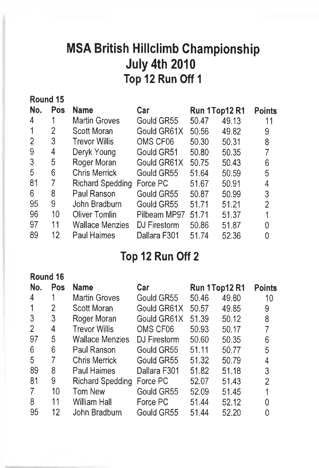## MSA British Hillclimb Championship July 4th 2010 Top 12 Run Off 1

| Round 15      |     |                        |              |               |       |                |
|---------------|-----|------------------------|--------------|---------------|-------|----------------|
| No.           | Pos | <b>Name</b>            | Car          | Run 1Top12 R1 |       | <b>Points</b>  |
| 4             |     | <b>Martin Groves</b>   | Gould GR55   | 50.47         | 49.13 | 11             |
|               | 2   | Scott Moran            | Gould GR61X  | 50.56         | 49.82 | 9              |
| 2             | 3   | <b>Trevor Willis</b>   | OMS CF06     | 50.30         | 50.31 | 8              |
| 9             | 4   | Deryk Young            | Gould GR51   | 50.80         | 50.35 | 7              |
| $\mathcal{S}$ | 5   | Roger Moran            | Gould GR61X  | 50.75         | 50.43 | 6              |
| 5             | 6   | <b>Chris Merrick</b>   | Gould GR55   | 51.64         | 50.59 | 5              |
| 81            | 7   | Richard Spedding       | Force PC     | 51.67         | 50.91 | 4              |
| 6             | 8   | Paul Ranson            | Gould GR55   | 50.87         | 50.99 | 3              |
| 95            | 9   | John Bradburn          | Gould GR55   | 51.71         | 51.21 | $\overline{2}$ |
| 96            | 10  | <b>Oliver Tomlin</b>   | Pilbeam MP97 | 51.71         | 51.37 |                |
| 97            | 11  | <b>Wallace Menzies</b> | DJ Firestorm | 50.86         | 51.87 | N              |
| 89            | 12  | <b>Paul Haimes</b>     | Dallara F301 | 51.74         | 52.36 |                |
|               |     |                        |              |               |       |                |

## Top 12 Run Off 2

| Round 16       |     |                        |              |       |               |               |
|----------------|-----|------------------------|--------------|-------|---------------|---------------|
| No.            | Pos | <b>Name</b>            | Car          |       | Run 1Top12 R1 | <b>Points</b> |
| 4              |     | <b>Martin Groves</b>   | Gould GR55   | 50.46 | 49.80         | 10            |
|                | 2   | Scott Moran            | Gould GR61X  | 50.57 | 49.85         | 9             |
| 3              | 3   | Roger Moran            | Gould GR61X  | 51.39 | 50.12         | 8             |
| $\overline{2}$ | 4   | <b>Trevor Willis</b>   | OMS CF06     | 50.93 | 50.17         |               |
| 97             | 5   | <b>Wallace Menzies</b> | DJ Firestorm | 50.60 | 50.35         | 6             |
| 6              | 6   | Paul Ranson            | Gould GR55   | 51.11 | 50.77         | 5             |
| 5              | 7   | <b>Chris Merrick</b>   | Gould GR55   | 51.32 | 50.79         | 4             |
| 89             | 8   | <b>Paul Haimes</b>     | Dallara F301 | 51.82 | 51.18         | 3             |
| 81             | 9   | Richard Spedding       | Force PC     | 52.07 | 51.43         | 2             |
| 7              | 10  | Tom New                | Gould GR55   | 52.09 | 51.45         |               |
| 8              | 11  | <b>William Hall</b>    | Force PC     | 51.44 | 52.12         |               |
| 95             | 12  | John Bradburn          | Gould GR55   | 51.44 | 52.20         |               |
|                |     |                        |              |       |               |               |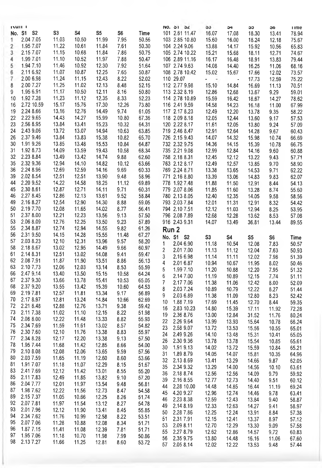|                | <b>INULL</b>           |                |                |                |              |                | NO. 31 34          |                | აა               | 54                   | ახ             | ১৩            | <b>ume</b>     |
|----------------|------------------------|----------------|----------------|----------------|--------------|----------------|--------------------|----------------|------------------|----------------------|----------------|---------------|----------------|
|                | No. S1 S2              | S <sub>3</sub> | S4             | S5             | S6           | Time           |                    | 101 2.61 11.47 | 16.07            | 17.08                | 18.30          | 13.41         | 78.94          |
| 1              | 2.04 7.05              | 11.03          | 10.50          | 11.99          | 7.95         | 50.56          |                    | 103 2.85 10.80 | 15.60            | 16.00                | 18.24          |               |                |
|                |                        |                |                |                |              |                |                    |                |                  |                      |                | 12.18         | 75.67          |
| $\overline{c}$ | 1.95 7.07              | 11.22          | 10.61          | 11.84          | 7.61         | 50.30          | 104 2.24 9.06      |                | 13.88            | 14.17                | 15.92          | 10.56         | 65.83          |
| 3              | 2.15 7.07              | 11.15          | 10.68          | 11.84          | 7.86         | 50.75          |                    | 105 2.74 10.22 | 15.21            | 15.68                | 18.11          | 12.71         | 74.67          |
| 4              | 1.99 7.01              | 11.10          | 10.52          | 11.97          | 7.88         | 50.47          |                    | 106 2.89 11.16 | 16.17            | 16.48                | 18.91          | 13.83         | 79.44          |
| 5              | 1.94 7.10              | 11.46          | 10.92          | 12.30          | 7.92         | 51.64          |                    | 107 2.74 9.63  | 14.08            | 14.40                | 16.25          | 11.06         | 68.16          |
| 6              | 2,116.92               | 11.07          | 10.87          | 12.25          | 7.65         | 50.87          |                    | 108 2.78 10.42 | 15.02            | 15.67                | 17.66          | 12.02         | 73.57          |
| 7              | 2.00 6.98              | 11.24          | 11.15          | 12.43          | 8.22         | 52.02          | 110 29.07          |                | $\sim$<br>$\sim$ | $\ddot{\phantom{0}}$ | 17.73          | 12.59         | 75.22          |
|                | 2.00 7.27              | 11.25          | 11.02          | 12.13          |              | 52.15          | 112 2.77 9.98      |                |                  |                      |                |               |                |
| 8              |                        |                |                |                | 8.48         |                |                    |                | 15.10            | 14.84                | 16.69          | 11.13         | 70.51          |
| 9              | 1.95 6.91              | 11.17          | 10.50          | 12.11          | 8.16         | 50.80          | 113 2.32 8.19      |                | 12.86            | 12.68                | 13.67          | 9.29          | 59.01          |
| 10             | 1.92 7.28              | 11.23          | 11.12          | 12.35          | 8.33         | 52.23          |                    | 114 2 78 10.89 | 15.59            | 16.42                | 18.67          | 14.27         | 78.62          |
| 16             | 2.72 10.59             | 15.17          | 15.76          | 17.30          | 12.26        | 73.80          | 116 2.41 9.59      |                | 14.58            | 14.23                | 16.18          | 11.00         | 67.99          |
| 19             | 2.24 8.66              | 13.16          | 12.76          | 14.49          | 9.74         | 61.05          | 117 2.17 8.23      |                | 12.49            | 12.20                | 13.78          | 9.35          | 58.22          |
| 22             | 2.22 9.65              | 14.43          | 14.27          | 15.99          | 10.80        | 67.36          | 118 2.09 8.18      |                | 12.05            | 12.44                | 13.60          | 9.17          | 57.53          |
| 23             | 2.56 8.95              | 13.84          | 13.41          | 15.23          | 10.32        | 64.31          | 120 2.22 8.17      |                | 11.61            | 12.05                | 13.80          | 9.24          | 57.09          |
| 24             | 2.43 9.06              | 13.72          | 13.07          | 14.94          | 10.63        | 63.85          | 719 2.46 8.47      |                | 12.91            | 12.64                | 14.28          | 9.67          | 60.43          |
|                |                        |                |                |                |              |                |                    |                |                  |                      |                |               |                |
| 26             | 2.37 9.46              | 13.84          | 13.83          | 15.38          | 10.82        | 65.70          | 726 2.15 9.43      |                | 14.07            | 14.32                | 15.98          | 10.74         | 66.69          |
| 30             | 1.91 9.26              | 13.85          | 13.48          | 15.53          | 10.84        | 64.87          | 732 2.32 9.75      |                | 14.36            | 14.15                | 15.39          | 10.78         | 66.75          |
| 31             | 1.92 8.73              | 14.09          | 13.59          | 19.43          | 10.58        | 68.34          | 735 2.21 9.08      |                | 12.99            | 12.84                | 14.16          | 9.60          | 60.88          |
| 32             | 2.23 8.84              | 13.49          | 13.42          | 14.74          | 9.88         | 62.60          | 758 2.18 8.31      |                | 12.45            | 12.12                | 13.22          | 9.43          | 57.71          |
| 35             | 2.32 9.36              | 12.94          | 14.10          | 14.82          | 10.12        | 63.66          | 763 2.12 8.17      |                | 12.49            | 12.57                | 13.85          | 9.70          | 58.90          |
| 36             | 2.24 8.96              | 12.69          | 12.59          | 14.16          | 9.69         | 60.33          | 769 2.24 8.71      |                | 13.38            | 13.65                | 14.53          | 9.71          | 62.22          |
| 39             | 2.02 8.54              | 12.51          | 12.51          | 13.90          | 9.48         | 58.96          | 771 2.16 8.80      |                | 13.39            | 13.06                | 14.83          |               | 62.07          |
|                |                        |                |                |                |              |                |                    |                |                  |                      |                | 9.83          |                |
| 44             | 2.20 9.52              | 14.22          | 14.58          | 18.25          | 11.12        | 69.89          | 778 1.92 7.48      |                | 11.88            | 11.50                | 12.91          | 8.44          | 54.13          |
| 45             | 2.30 8.61              | 12.87          | 12.71          | 14.11          | 9.71         | 60.31          | 779 2.07 8.06      |                | 11.85            | 11.60                | 13.28          | 8.74          | 55.60          |
| 46             | 2.27 8.45              | 12.86          | 12.13          | 13.61          | 9.52         | 58.84          | 780 2.13 8.05      |                | 12.40            | 12.35                | 14.05          | 9.58          | 58.56          |
| 49             | 2.16 8.27              | 12.54          | 12.90          | 14.30          | 8.88         | 59.05          | 793 2.03 7.84      |                | 12.01            | 11.31                | 12.91          | 8.32          | 54.42          |
| 50             | 2.19 7.70              | 12.08          | 11.65          | 14.02          | 8.77         | 56.41          | 794 2.10 7.51      |                | 12.12            | 11.03                | 12.94          | 8.25          | 53.95          |
| 51             | 2.37 8.00              | 12.21          | 12.23          | 13.56          | 9.13         | 57.50          | 796 2.08 7.89      |                | 12.68            | 12.28                | 13.62          | 8.53          | 57.08          |
| 53             | 2.06 8.09              | 12.76          | 12.25          | 13.50          | 9.23         | 57.89          | 916 2.43 9.31      |                | 14.07            | 13.49                | 36.81          | 13.44         | 89.55          |
| 55             | 2.34 8.87              | 12.74          | 12.94          | 14.55          | 9.82         | 61.26          |                    |                |                  |                      |                |               |                |
|                |                        |                |                |                |              |                | Run <sub>2</sub>   |                |                  |                      |                |               |                |
|                |                        |                |                |                |              |                |                    |                |                  |                      |                |               |                |
| 56             | 2.31 9.50              | 14.15          | 14.28          | 15.55          | 11.48        | 67.27          | No. S1 S2          |                | S3               | S4                   | S5             |               |                |
| 57             | 2.03 8.23              | 12.10          | 12.31          | 13.96          | 9.57         | 58.20          | 1                  |                |                  |                      |                | S6            | Time           |
| 58             | 2.18 8.67              | 13.02          | 12.95          | 14.49          | 9.66         | 60.97          |                    | 2.04 6.90      | 11.18            | 10.54                | 12.08          | 7.83          | 50.57          |
| 61             | 2.14 8.31              | 12.51          | 13.02          | 14.08          | 9.41         | 59.47          | 2                  | 2.017.00       | 11.13            | 11.12                | 12.04          | 7.63          | 50.93          |
| 62             | 2.08 7.91              | 11.87          | 11.90          | 13.51          | 8.86         | 56.13          | 3                  | 2.16 6.98      | 11.14            | 11.11                | 12.02          | 7.98          | 51.39          |
|                |                        |                |                |                |              |                | 4                  | 2.01 6.87      | 10.94            | 10.67                | 11.95          | 8.02          | 50.46          |
| 63             | 2.10 7.73              | 12.06          | 12.03          | 13.14          | 8.53         | 55.59          | 5                  | 1.99 7.10      | 11.20            | 10.88                | 12.20          | 7.95          | 51.32          |
| 66             | 2.47 9.14              | 13.40          | 13.50          | 15.15          | 10.58        | 64.24          | 6                  | 2.14 7.00      | 11.19            | 10.89                | 12.15          | 7.74          | 51.11          |
| 67             | 2.37 9.30              | 13.66          | 13.78          | 15.41          | 10.53        | 65.05          | 7                  | 2.17 7.06      | 11.38            | 11.06                | 12.42          | 8.00          | 52.09          |
| 68             | 2.37 9.20              | 13.55          | 13.42          | 15.39          | 10.60        | 64.53          | 8                  | 2.03 7.24      | 10.89            | 10.79                | 12.22          | 8.27          | 51.44          |
| 69             | 2.19 7.81              | 12.57          | 11.81          | 13.34          | 9.17         | 56.89          | 9                  |                |                  |                      |                |               |                |
| 70             | 2.17 8.97              | 12.81          | 13.24          | 14.84          | 10.66        | 62.69          |                    | 2.03 6.89      | 11.38            | 11.09                | 12.80          | 8.23          | 52.42          |
| 72             | 2.21 8.48              | 12.88          | 12.76          | 13.71          | 9.38         | 59.42          | 10                 | 1.88 7.19      | 17.69            | 11.45                | 12.70          | 8.44          | 59.35          |
| 73             | 2.11 7.38              | 11.02          | 11.10          | 12.15          | 8.22         | 51.98          | 16                 | 2.83 10.23     | 14.80            | 15.39                | 17.11          | 11.92         | 72.28          |
| 74             | 2.08 8.00              | 12.22          | 11.48          | 13.33          |              |                | 19                 | 2.36 8.76      | 13.00            | 12.84                | 31.52          | 11.76         | 80.24          |
|                |                        |                |                |                | 8.82         | 55.93          | 22                 | 2.26 9.64      | 13.99            | 13.93                | 15.64          | 10.78         | 66.24          |
| 75             | 2.34 7.69              | 11.59          | 11.61          | 13.02          | 8.57         | 54.82          | 23                 | 2.58 9.07      | 13.72            | 13.53                | 15.56          | 10.55         | 65.01          |
| 76             | 2.30 7.60              | 12.10          | 11.76          | 13.38          | 8.83         | 55.97          | 24                 | 2.49 9.26      | 14.10            | 13.48                | 15.31          | 10.41         | 65.05          |
| 77             | 2.34 8.28              | 12.17          | 12.20          | 13.38          | 9.13         | 57.50          | 26                 | 2.30 9.36      | 13.78            | 13.78                | 15.54          | 10.85         | 65.61          |
| 78             | 1.95 7.44              | 11.68          | 11,42          | 12.85          | 8.66         | 54.00          | 30                 | 1.91 9.13      |                  |                      |                |               |                |
| 79             | 2.10 8.08              | 12.08          | 12.06          | 13.65          | 9.59         | 57.56          |                    |                | 14.02            | 13.72                | 15.59          | 10.84         | 65.21          |
| 80             | 2.03 7.59              | 11.65          | 11.19          | 12.60          | 8.60         | 53.66          | 31                 | 1.89 8.79      | 14.05            | 14.07                | 15.81          | 10.35         | 64.96          |
| 81             | 1.91 7.07              | 11.18          | 11.07          |                |              |                | 32 2.13 8.69       |                | 13.41            | 13.29                | 14.66          | 9.87          | 62.05          |
|                |                        |                |                | 12.29          | 8.15         | 51.67          | 35 2.34 9.32       |                | 13.29            | 14.00                | 14.56          | 10.10         | 63.61          |
| 83             | 2.417.69               | 12.12          | 11.42          | 13.01          | 8.55         | 55.20          | 36                 | 2.18 8.74      | 12.56            | 12.56                | 14.09          | 9.79          | 59.92          |
| 85             | 2.11 7.83              | 12.49          | 11.85          | 13.82          | 9.10         | 57.20          | 39                 | 2.16 8.55      | 12.77            | 12.73                | 14.40          | 9.51          | 60.12          |
| 86             | 2.04 7.77              | 12.01          | 11.97          | 13.54          | 9.48         | 56.81          | 44                 | 2.28 10.00     | 14.48            | 14.85                | 16.44          | 11.19         | 69.24          |
| 87             | 1.98 7.62              | 12.22          | 11.56          | 12.73          | 8.47         | 54.58          | 45                 | 4.20 9.27      | 12.96            | 12.74                | 14.46          | 9.78          | 63.41          |
| 89             | 2.15 7.37              | 11.05          | 10.66          | 12.25          | 8.26         | 51.74          | 46                 | 2.23 8.38      | 12.59            | 12.43                | 13.84          | 9.40          |                |
| 92             | 2.07 7.81              | 11.97          | 11.54          | 13.12          | 8.27         | 54.78          | 49                 |                |                  |                      |                |               | 58.87          |
| 93             | 2.01 7.96              | 12.12          | 11.90          | 13.41          | 8.45         | 55.85          |                    | 2.14 8.19      | 12.33            | 12.63                | 14.27          | 9.41          | 58.97          |
| 94             | 2.34 7.62              | 11.76          | 10.99          | 12.58          | 8.22         | 53.51          | 50                 | 2.28 7.86      | 12.25            | 12.24                | 13.91          | 8.84          | 57.38          |
| 95             | 2.07 7.06              | 11.28          | 10.88          | 12.08          | 8.34         |                | 51                 | 2.31 7.91      | 12.15            | 12.41                | 13.37          | 8.97          | 57.12          |
| 96             |                        |                |                |                |              | 51.71          | 53                 | 2.09 8.11      | 12.70            | 12.29                | 13.30          | 9.09          | 57.58          |
|                | 1.87 7.15              | 11.41          | 11.08          | 12.39          | 7.81         | 51.71          | 55                 | 2.27 8.79      | 12.62            | 12.86                | 14.57          | 9.72          | 60.83          |
| 97<br>98       | 1.95 7.06<br>2.13 7.27 | 11.18<br>11.66 | 10.70<br>11.25 | 11.98<br>12.81 | 7.99<br>8.60 | 50.86<br>53.72 | 56<br>57 2.05 8.14 | 2.35 9.75      | 13.80<br>12.02   | 14.48<br>12.22       | 16.16<br>13.53 | 11.06<br>9.48 | 67.60<br>57.44 |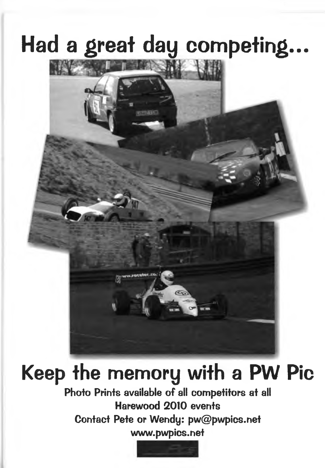## Had a great day competing...



**Keep the memory with a PW Pic Photo Prints available of all competitors at all Harewood 2010 events Contact Pete or Wendy: [pw@pwpics.net](mailto:pw@pwpics.net) [www.pwpics.net](http://www.pwpics.net)**

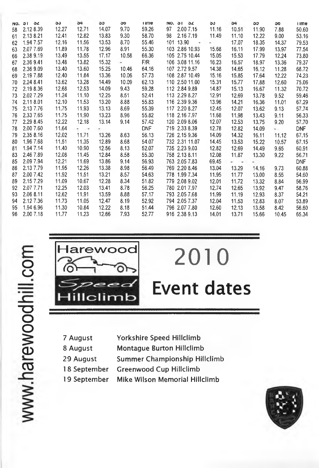|    | NO. 31 34    | ১১    | 54    | ວວ    | <b>SD</b> | <b>Time</b> |    | NO, 31 32      | აა    | 54    | ວວ    | <b>OG</b> | <b>Time</b> |
|----|--------------|-------|-------|-------|-----------|-------------|----|----------------|-------|-------|-------|-----------|-------------|
| 58 | 2.12 8.39    | 12.27 | 12.71 | 14.07 | 9.70      | 59.26       | 97 | 2.00 7.15      | 11.16 | 10.51 | 11.90 | 7.88      | 50.60       |
| 61 | 2.13 8.21    | 12.41 | 12.82 | 13.83 | 9.30      | 58.70       | 98 | 2.16 7.19      | 11.49 | 11.10 | 12.22 | 9.00      | 53.16       |
| 62 | 1.94 7.57    | 12.16 | 11.56 | 13.53 | 8.70      | 55.46       |    | 101 13.90      |       | 17.07 | 18.35 | 14.37     | 79.53       |
| 63 | 2.07 7.69    | 11.89 | 11.78 | 12.96 | 8.91      | 55.30       |    | 103 2.86 10.93 | 15.68 | 16.11 | 17.99 | 13.97     | 77.54       |
| 66 | 2.38 9.19    | 13.49 | 13.55 | 17.17 | 10.58     | 66.36       |    | 105 2.75 10.44 | 15.05 | 15.53 | 17.79 | 12.24     | 73.80       |
| 67 | 2.36 9.41    | 13.48 | 13.82 | 15.32 | ۰         | F/R         |    | 106 3.08 11.16 | 16.23 | 16.57 | 18.97 | 13.36     | 79.37       |
| 68 | 2.36 9.09    | 13.40 | 13.60 | 15.25 | 10.46     | 64.16       |    | 107 2.72 9.57  | 14.38 | 14.65 | 16.12 | 11.28     | 68.72       |
| 69 | 2.197.88     | 12.40 | 11.84 | 13.36 | 10.06     | 57.73       |    | 108 2.87 10.49 | 15.16 | 15.85 | 17.64 | 12.22     | 74.23       |
| 70 | 2.24 8.41    | 13.62 | 13.28 | 14.49 | 10.09     | 62.13       |    | 110 2.50 11.00 | 15.31 | 15.77 | 17.88 | 12.60     | 75.06       |
| 72 | 2.19 8.36    | 12.68 | 12.53 | 14.09 | 9.43      | 59.28       |    | 112 2.84 9.89  | 14.87 | 15.13 | 16.67 | 11.32     | 70.72       |
| 73 | 2.027.29     | 11.24 | 11.10 | 12.25 | 8.51      | 52.41       |    | 113 2.29 8.27  | 12.91 | 12.69 | 13.78 | 9.52      | 59.46       |
| 74 | 2.11 8.01    | 12.10 | 11.53 | 13.20 | 8.88      | 55.83       |    | 116 2.39 9.36  | 13.96 | 14.21 | 16.36 | 11.01     | 67.29       |
| 75 | 2.13 7.76    | 11.75 | 11.93 | 13.13 | 8.69      | 55.39       |    | 117 2.20 8.27  | 12.45 | 12.07 | 13.62 | 9.13      | 57.74       |
| 76 | 2.33 7.65    | 11.75 | 11.90 | 13.23 | 8.96      | 55.82       |    | 118 2.16 7.97  | 11.68 | 11.98 | 13.43 | 9.11      | 56.33       |
| 77 | 2.29 8.45    | 12.22 | 12.18 | 13.14 | 9.14      | 57.42       |    | 120 2.09 8.06  | 12.07 | 12.53 | 13.75 | 9.20      | 57.70       |
| 78 | 2.00 7.60    | 11.64 | t 17  |       |           | <b>DNF</b>  |    | 719 2 33 8 39  | 12.78 | 12.82 | 14.09 | 5.00      | <b>DNF</b>  |
| 79 | 2.35 8.16    | 12.02 | 11.71 | 13.26 | 8.63      | 56.13       |    | 726 2.15 9.36  | 14.09 | 14.32 | 16.11 | 11.12     | 67.15       |
| 80 | 1.96 7.68    | 11.51 | 11.35 | 12.89 | 8.68      | 54.07       |    | 732 2.31 11.07 | 14.45 | 13.53 | 15.22 | 10.57     | 67.15       |
| 81 | 1.94 7.14    | 11.40 | 10.90 | 12.56 | 8.13      | 52.07       |    | 735 2.23 9.03  | 12.82 | 12.69 | 14.49 | 9.65      | 60.91       |
| 83 | 2.46 7.89    | 12.08 | 11.45 | 12.84 | 8.58      | 55.30       |    | 758 2.13 8.11  | 12.08 | 11.87 | 13.30 | 9.22      | 56.71       |
| 85 | 2.09 7.94    | 12.21 | 11.69 | 13.86 | 9.14      | 56.93       |    | 763 2.05 7.83  | 69.45 | . .   | . .   |           | <b>DNF</b>  |
| 86 | 2.13 7.79    | 11.95 | 12.26 | 13.38 | 8.98      | 56.49       |    | 769 2.20 8.46  | 13.04 | 13.29 | 14.16 | 9.73      | 60.88       |
| 87 | 2.00 7.42    | 11.92 | 11.51 | 13.21 | 8.57      | 54 63       |    | 778 1.99 7.34  | 11.95 | 11.77 | 13.00 | 8.55      | 54.60       |
| 89 | 2.15 7.29    | 11.09 | 10.67 | 12.28 | 8.34      | 51.82       |    | 779 2.08 9.02  | 12.01 | 11.72 | 13.32 | 8.84      | 56.99       |
| 92 | 2.07 7.71    | 12.25 | 12.03 | 13.41 | 8.78      | 56.25       |    | 780 2.01 7.97  | 12.74 | 12.65 | 13.92 | 9.47      | 58.76       |
| 93 | 2.06 8.11    | 12.62 | 11.91 | 13.59 | 8.88      | 57.17       |    | 793 2.05 7.68  | 11.99 | 11.19 | 12.93 | 8.37      | 54.21       |
| 94 | 2.12 7.36    | 11.73 | 11.05 | 12.47 | 8.19      | 52.92       |    | 794 2.05 7.37  | 12.04 | 11,53 | 12.83 | 8.07      | 53.89       |
| 95 | 1.94 6.96    | 11.30 | 10.84 | 12.22 | 8.18      | 51.44       |    | 796 2.07 7.80  | 12.60 | 12.13 | 13.58 | 8.42      | 56.60       |
|    | 96 2.00 7.18 | 11.77 | 11.23 | 12.66 | 7.93      | 52.77       |    | 916 2.38 9.13  | 14.01 | 13.71 | 15.66 | 10.45     | 65.34       |



# **Event dates**

**2010**

- **7 August Yorkshire Speed Hillclimb**
- **8 August Montague Burton Hillclimb**
- **29 August Summer Championship Hillclimb**
- **18 September Greenwood Cup Hillclimb**
- **19 September Mike Wilson Memorial Hillclimb**